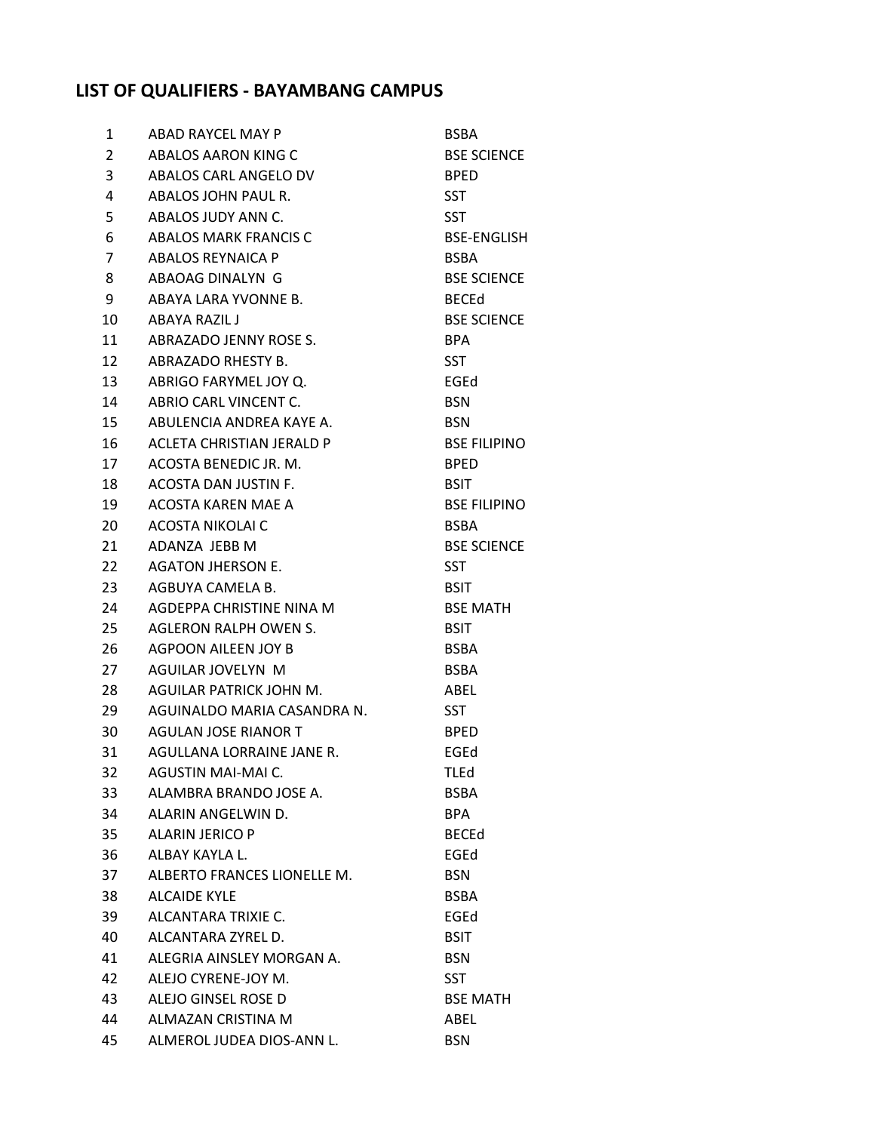## **LIST OF QUALIFIERS - BAYAMBANG CAMPUS**

| 1              | ABAD RAYCEL MAY P           | <b>BSBA</b>         |
|----------------|-----------------------------|---------------------|
| $\overline{2}$ | ABALOS AARON KING C         | <b>BSE SCIENCE</b>  |
| 3              | ABALOS CARL ANGELO DV       | <b>BPED</b>         |
| 4              | ABALOS JOHN PAUL R.         | <b>SST</b>          |
| 5              | ABALOS JUDY ANN C.          | <b>SST</b>          |
| 6              | ABALOS MARK FRANCIS C       | <b>BSE-ENGLISH</b>  |
| $\overline{7}$ | ABALOS REYNAICA P           | <b>BSBA</b>         |
| 8              | ABAOAG DINALYN G            | <b>BSE SCIENCE</b>  |
| 9              | ABAYA LARA YVONNE B.        | <b>BECEd</b>        |
| 10             | ABAYA RAZIL J               | <b>BSE SCIENCE</b>  |
| 11             | ABRAZADO JENNY ROSE S.      | BPA                 |
| 12             | ABRAZADO RHESTY B.          | <b>SST</b>          |
| 13             | ABRIGO FARYMEL JOY Q.       | EGEd                |
| 14             | ABRIO CARL VINCENT C.       | <b>BSN</b>          |
| 15             | ABULENCIA ANDREA KAYE A.    | <b>BSN</b>          |
| 16             | ACLETA CHRISTIAN JERALD P   | <b>BSE FILIPINO</b> |
| 17             | ACOSTA BENEDIC JR. M.       | <b>BPED</b>         |
| 18             | ACOSTA DAN JUSTIN F.        | <b>BSIT</b>         |
| 19             | ACOSTA KAREN MAE A          | <b>BSE FILIPINO</b> |
| 20             | ACOSTA NIKOLAI C            | <b>BSBA</b>         |
| 21             | ADANZA JEBB M               | <b>BSE SCIENCE</b>  |
| 22             | AGATON JHERSON E.           | <b>SST</b>          |
| 23             | AGBUYA CAMELA B.            | <b>BSIT</b>         |
| 24             | AGDEPPA CHRISTINE NINA M    | <b>BSE MATH</b>     |
| 25             | AGLERON RALPH OWEN S.       | <b>BSIT</b>         |
| 26             | AGPOON AILEEN JOY B         | <b>BSBA</b>         |
| 27             | AGUILAR JOVELYN M           | <b>BSBA</b>         |
| 28             | AGUILAR PATRICK JOHN M.     | ABEL                |
| 29             | AGUINALDO MARIA CASANDRA N. | <b>SST</b>          |
| 30             | AGULAN JOSE RIANOR T        | <b>BPED</b>         |
| 31             | AGULLANA LORRAINE JANE R.   | EGEd                |
| 32             | AGUSTIN MAI-MAI C.          | TLEd                |
| 33             | ALAMBRA BRANDO JOSE A.      | <b>BSBA</b>         |
| 34             | ALARIN ANGELWIN D.          | BPA                 |
| 35             | ALARIN JERICO P             | <b>BECEd</b>        |
| 36             | ALBAY KAYLA L.              | EGEd                |
| 37             | ALBERTO FRANCES LIONELLE M. | <b>BSN</b>          |
| 38             | <b>ALCAIDE KYLE</b>         | <b>BSBA</b>         |
| 39             | ALCANTARA TRIXIE C.         | EGEd                |
| 40             | ALCANTARA ZYREL D.          | <b>BSIT</b>         |
| 41             | ALEGRIA AINSLEY MORGAN A.   | <b>BSN</b>          |
| 42             | ALEJO CYRENE-JOY M.         | <b>SST</b>          |
| 43             | ALEJO GINSEL ROSE D         | <b>BSE MATH</b>     |
| 44             | ALMAZAN CRISTINA M          | ABEL                |
| 45             | ALMEROL JUDEA DIOS-ANN L.   | <b>BSN</b>          |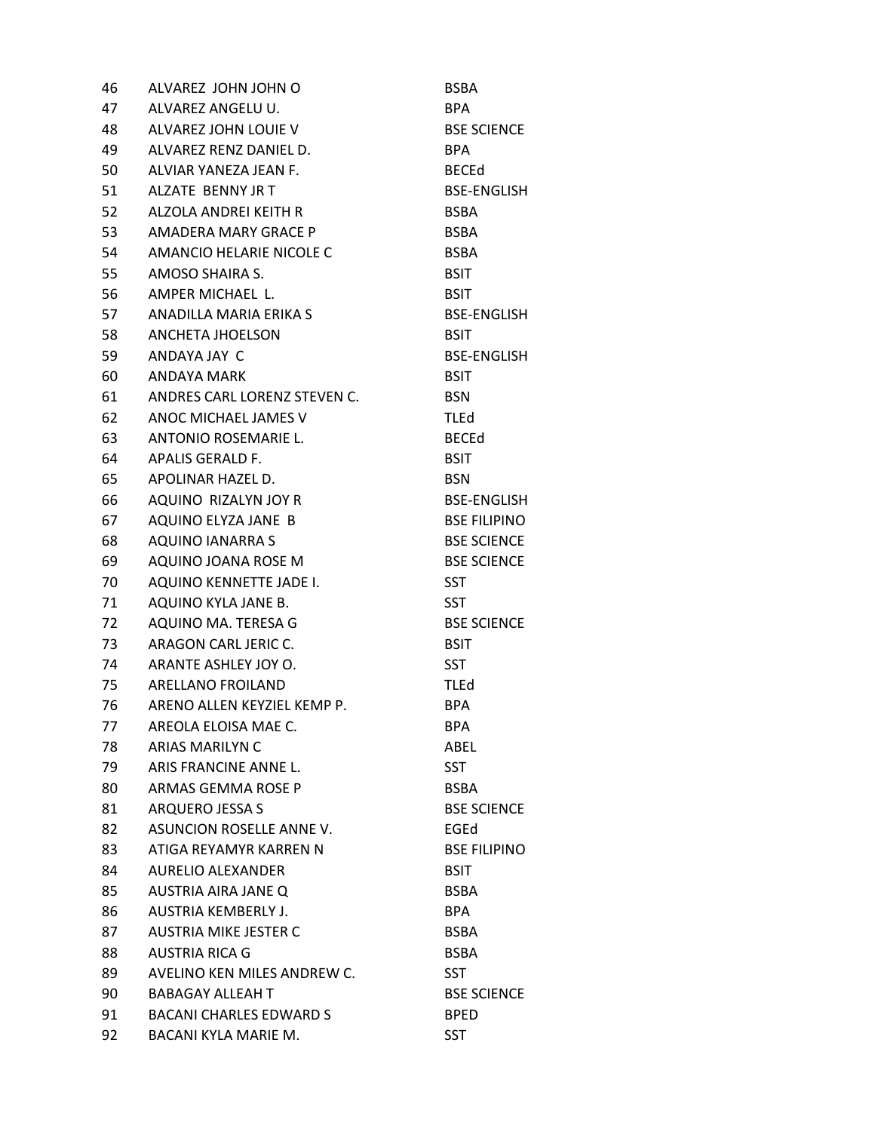| 46   | ALVAREZ JOHN JOHN O            | <b>BSBA</b>         |
|------|--------------------------------|---------------------|
| 47   | ALVAREZ ANGELU U.              | BPA.                |
| 48   | ALVAREZ JOHN LOUIE V           | <b>BSE SCIENCE</b>  |
| 49   | ALVAREZ RENZ DANIEL D.         | BPA                 |
| 50   | ALVIAR YANEZA JEAN F.          | <b>BECEd</b>        |
| 51   | ALZATE BENNY JR T              | <b>BSE-ENGLISH</b>  |
| 52   | ALZOLA ANDREI KEITH R          | <b>BSBA</b>         |
| 53   | AMADERA MARY GRACE P           | <b>BSBA</b>         |
| 54   | AMANCIO HELARIE NICOLE C       | <b>BSBA</b>         |
| 55   | AMOSO SHAIRA S.                | <b>BSIT</b>         |
| 56   | AMPER MICHAEL L.               | BSIT                |
| 57   | ANADILLA MARIA ERIKA S         | BSE-ENGLISH         |
| 58   | ANCHETA JHOELSON               | <b>BSIT</b>         |
| 59   | ANDAYA JAY C                   | <b>BSE-ENGLISH</b>  |
| 60   | ANDAYA MARK                    | <b>BSIT</b>         |
| 61   | ANDRES CARL LORENZ STEVEN C.   | <b>BSN</b>          |
| 62   | ANOC MICHAEL JAMES V           | <b>TLEd</b>         |
| 63   | ANTONIO ROSEMARIE L.           | <b>BECEd</b>        |
| 64   | APALIS GERALD F.               | <b>BSIT</b>         |
| 65   | APOLINAR HAZEL D.              | <b>BSN</b>          |
| 66   | AQUINO RIZALYN JOY R           | <b>BSE-ENGLISH</b>  |
| 67 — | AQUINO ELYZA JANE B            | <b>BSE FILIPINO</b> |
| 68   | <b>AQUINO IANARRA S</b>        | <b>BSE SCIENCE</b>  |
| 69   | AQUINO JOANA ROSE M            | <b>BSE SCIENCE</b>  |
| 70   | AQUINO KENNETTE JADE I.        | <b>SST</b>          |
| 71   | AQUINO KYLA JANE B.            | SST                 |
| 72   | AQUINO MA. TERESA G            | <b>BSE SCIENCE</b>  |
| 73   | ARAGON CARL JERIC C.           | <b>BSIT</b>         |
| 74   | ARANTE ASHLEY JOY O.           | SST                 |
| 75   | <b>ARELLANO FROILAND</b>       | <b>TLEd</b>         |
| 76   | ARENO ALLEN KEYZIEL KEMP P.    | <b>BPA</b>          |
| 77   | AREOLA ELOISA MAE C.           | <b>BPA</b>          |
| 78   | ARIAS MARILYN C                | ABEL                |
| 79   | ARIS FRANCINE ANNE L.          | SST                 |
| 80   | ARMAS GEMMA ROSE P             | <b>BSBA</b>         |
| 81   | ARQUERO JESSA S                | <b>BSE SCIENCE</b>  |
| 82   | ASUNCION ROSELLE ANNE V.       | EGEd                |
| 83   | ATIGA REYAMYR KARREN N         | <b>BSE FILIPINO</b> |
| 84   | AURELIO ALEXANDER              | <b>BSIT</b>         |
| 85   | AUSTRIA AIRA JANE O            | <b>BSBA</b>         |
| 86   | AUSTRIA KEMBERLY J.            | <b>BPA</b>          |
| 87   | <b>AUSTRIA MIKE JESTER C</b>   | <b>BSBA</b>         |
| 88   | <b>AUSTRIA RICA G</b>          | <b>BSBA</b>         |
| 89   | AVELINO KEN MILES ANDREW C.    | SST                 |
| 90   | <b>BABAGAY ALLEAH T</b>        | <b>BSE SCIENCE</b>  |
| 91   | <b>BACANI CHARLES EDWARD S</b> | <b>BPED</b>         |
| 92   | BACANI KYLA MARIE M.           | SST                 |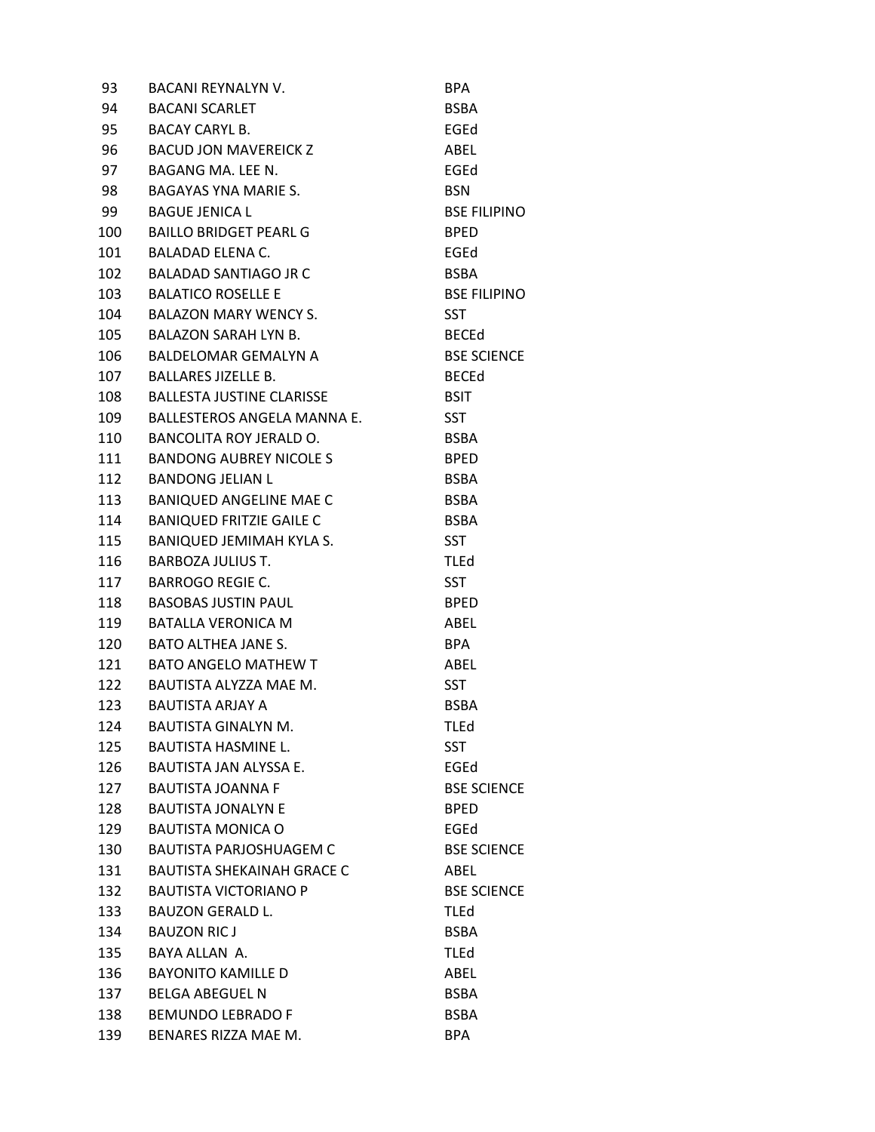| 93  | <b>BACANI REYNALYN V.</b>         | <b>BPA</b>          |
|-----|-----------------------------------|---------------------|
| 94  | <b>BACANI SCARLET</b>             | <b>BSBA</b>         |
| 95  | <b>BACAY CARYL B.</b>             | EGEd                |
| 96  | BACUD JON MAVEREICK Z             | ABEL                |
| 97  | BAGANG MA. LEE N.                 | EGEd                |
| 98  | BAGAYAS YNA MARIE S.              | <b>BSN</b>          |
| 99  | <b>BAGUE JENICA L</b>             | <b>BSE FILIPINO</b> |
| 100 | <b>BAILLO BRIDGET PEARL G</b>     | <b>BPED</b>         |
| 101 | BALADAD ELENA C.                  | EGEd                |
| 102 | <b>BALADAD SANTIAGO JR C</b>      | <b>BSBA</b>         |
| 103 | <b>BALATICO ROSELLE E</b>         | <b>BSE FILIPINO</b> |
| 104 | BALAZON MARY WENCY S.             | <b>SST</b>          |
| 105 | <b>BALAZON SARAH LYN B.</b>       | <b>BECEd</b>        |
| 106 | BALDELOMAR GEMALYN A              | <b>BSE SCIENCE</b>  |
| 107 | <b>BALLARES JIZELLE B.</b>        | <b>BECEd</b>        |
| 108 | <b>BALLESTA JUSTINE CLARISSE</b>  | <b>BSIT</b>         |
| 109 | BALLESTEROS ANGELA MANNA E.       | <b>SST</b>          |
| 110 | BANCOLITA ROY JERALD O.           | <b>BSBA</b>         |
| 111 | BANDONG AUBREY NICOLE S           | <b>BPED</b>         |
| 112 | <b>BANDONG JELIAN L</b>           | <b>BSBA</b>         |
| 113 | <b>BANIQUED ANGELINE MAE C</b>    | <b>BSBA</b>         |
| 114 | <b>BANIQUED FRITZIE GAILE C</b>   | <b>BSBA</b>         |
| 115 | BANIQUED JEMIMAH KYLA S.          | <b>SST</b>          |
| 116 | <b>BARBOZA JULIUS T.</b>          | <b>TLEd</b>         |
| 117 | <b>BARROGO REGIE C.</b>           | <b>SST</b>          |
| 118 | <b>BASOBAS JUSTIN PAUL</b>        | <b>BPED</b>         |
| 119 | <b>BATALLA VERONICA M</b>         | ABEL                |
| 120 | BATO ALTHEA JANE S.               | <b>BPA</b>          |
| 121 | BATO ANGELO MATHEW T              | ABEL                |
| 122 | BAUTISTA ALYZZA MAE M.            | <b>SST</b>          |
| 123 | <b>BAUTISTA ARJAY A</b>           | <b>BSBA</b>         |
| 124 | <b>BAUTISTA GINALYN M.</b>        | <b>TLEd</b>         |
| 125 | <b>BAUTISTA HASMINE L.</b>        | <b>SST</b>          |
| 126 | <b>BAUTISTA JAN ALYSSA E.</b>     | EGEd                |
| 127 | <b>BAUTISTA JOANNA F</b>          | <b>BSE SCIENCE</b>  |
| 128 | <b>BAUTISTA JONALYN E</b>         | <b>BPED</b>         |
| 129 | <b>BAUTISTA MONICA O</b>          | EGEd                |
| 130 | <b>BAUTISTA PARJOSHUAGEM C</b>    | <b>BSE SCIENCE</b>  |
| 131 | <b>BAUTISTA SHEKAINAH GRACE C</b> | ABEL                |
| 132 | <b>BAUTISTA VICTORIANO P</b>      | <b>BSE SCIENCE</b>  |
| 133 | <b>BAUZON GERALD L.</b>           | <b>TLEd</b>         |
| 134 | <b>BAUZON RICJ</b>                | <b>BSBA</b>         |
| 135 | BAYA ALLAN A.                     | <b>TLEd</b>         |
| 136 | <b>BAYONITO KAMILLE D</b>         | ABEL                |
| 137 | <b>BELGA ABEGUEL N</b>            | <b>BSBA</b>         |
| 138 | <b>BEMUNDO LEBRADO F</b>          | <b>BSBA</b>         |
| 139 | BENARES RIZZA MAE M.              | <b>BPA</b>          |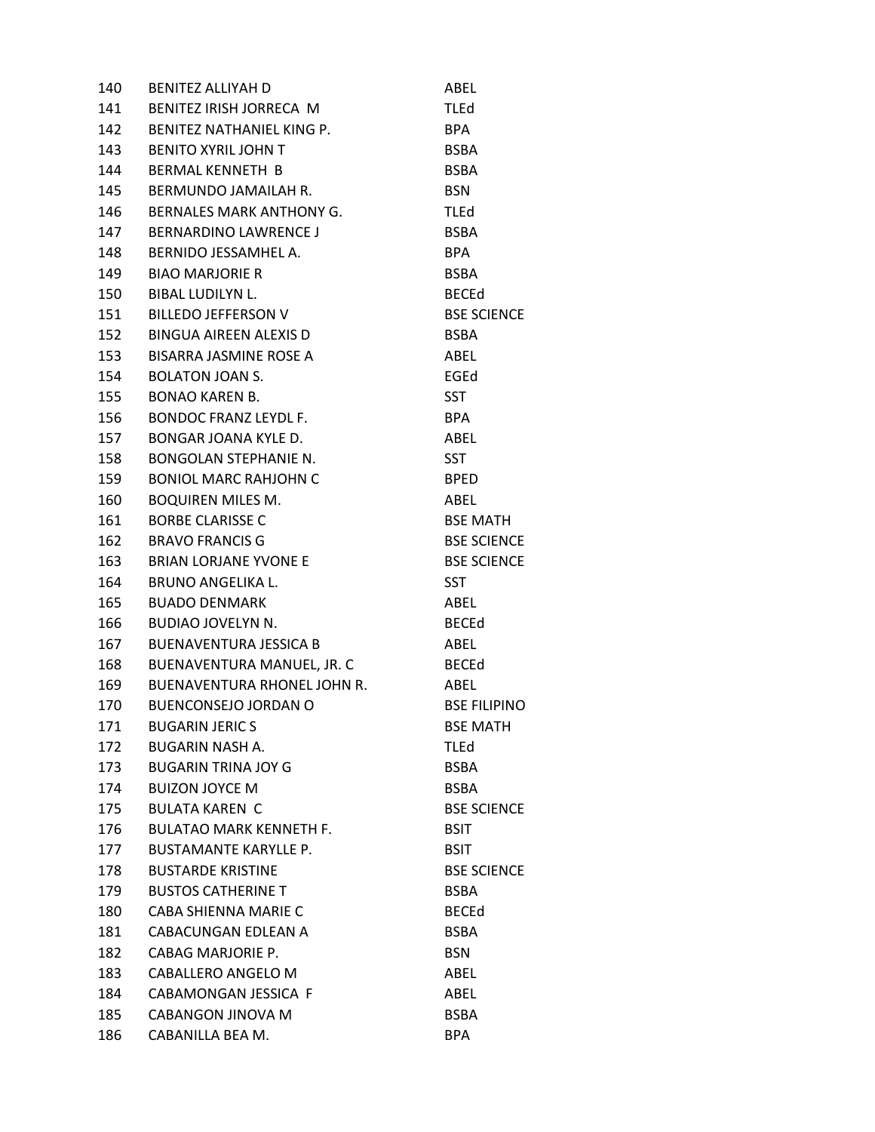| 140 | <b>BENITEZ ALLIYAH D</b>       | ABEL                |
|-----|--------------------------------|---------------------|
| 141 | BENITEZ IRISH JORRECA M        | <b>TLEd</b>         |
| 142 | BENITEZ NATHANIEL KING P.      | <b>BPA</b>          |
| 143 | <b>BENITO XYRIL JOHN T</b>     | <b>BSBA</b>         |
| 144 | <b>BERMAL KENNETH B</b>        | <b>BSBA</b>         |
| 145 | BERMUNDO JAMAILAH R.           | <b>BSN</b>          |
| 146 | BERNALES MARK ANTHONY G.       | TLEd                |
| 147 | <b>BERNARDINO LAWRENCE J</b>   | <b>BSBA</b>         |
| 148 | BERNIDO JESSAMHEL A.           | <b>BPA</b>          |
| 149 | <b>BIAO MARJORIE R</b>         | <b>BSBA</b>         |
| 150 | <b>BIBAL LUDILYN L.</b>        | <b>BECEd</b>        |
| 151 | <b>BILLEDO JEFFERSON V</b>     | <b>BSE SCIENCE</b>  |
| 152 | BINGUA AIREEN ALEXIS D         | <b>BSBA</b>         |
| 153 | BISARRA JASMINE ROSE A         | ABEL                |
| 154 | <b>BOLATON JOAN S.</b>         | EGEd                |
| 155 | <b>BONAO KAREN B.</b>          | <b>SST</b>          |
| 156 | <b>BONDOC FRANZ LEYDL F.</b>   | BPA                 |
| 157 | BONGAR JOANA KYLE D.           | ABEL                |
| 158 | <b>BONGOLAN STEPHANIE N.</b>   | <b>SST</b>          |
| 159 | <b>BONIOL MARC RAHJOHN C</b>   | <b>BPED</b>         |
| 160 | <b>BOQUIREN MILES M.</b>       | ABEL                |
| 161 | <b>BORBE CLARISSE C</b>        | <b>BSE MATH</b>     |
| 162 | <b>BRAVO FRANCIS G</b>         | <b>BSE SCIENCE</b>  |
| 163 | <b>BRIAN LORJANE YVONE E</b>   | <b>BSE SCIENCE</b>  |
| 164 | <b>BRUNO ANGELIKA L.</b>       | <b>SST</b>          |
| 165 | <b>BUADO DENMARK</b>           | ABEL                |
| 166 | BUDIAO JOVELYN N.              | <b>BECEd</b>        |
| 167 | <b>BUENAVENTURA JESSICA B</b>  | ABEL                |
| 168 | BUENAVENTURA MANUEL, JR. C     | <b>BECEd</b>        |
| 169 | BUENAVENTURA RHONEL JOHN R.    | ABEL                |
| 170 | <b>BUENCONSEJO JORDAN O</b>    | <b>BSE FILIPINO</b> |
| 171 | <b>BUGARIN JERIC S</b>         | <b>BSE MATH</b>     |
| 172 | <b>BUGARIN NASH A.</b>         | <b>TLEd</b>         |
| 173 | <b>BUGARIN TRINA JOY G</b>     | <b>BSBA</b>         |
| 174 | <b>BUIZON JOYCE M</b>          | <b>BSBA</b>         |
| 175 | <b>BULATA KAREN C</b>          | <b>BSE SCIENCE</b>  |
| 176 | <b>BULATAO MARK KENNETH F.</b> | <b>BSIT</b>         |
| 177 | <b>BUSTAMANTE KARYLLE P.</b>   | <b>BSIT</b>         |
| 178 | <b>BUSTARDE KRISTINE</b>       | <b>BSE SCIENCE</b>  |
| 179 | <b>BUSTOS CATHERINE T</b>      | <b>BSBA</b>         |
| 180 | CABA SHIENNA MARIE C           | <b>BECEd</b>        |
| 181 | CABACUNGAN EDLEAN A            | <b>BSBA</b>         |
| 182 | CABAG MARJORIE P.              | <b>BSN</b>          |
| 183 | CABALLERO ANGELO M             | ABEL                |
| 184 | CABAMONGAN JESSICA F           | ABEL                |
| 185 | CABANGON JINOVA M              | <b>BSBA</b>         |
| 186 | CABANILLA BEA M.               | <b>BPA</b>          |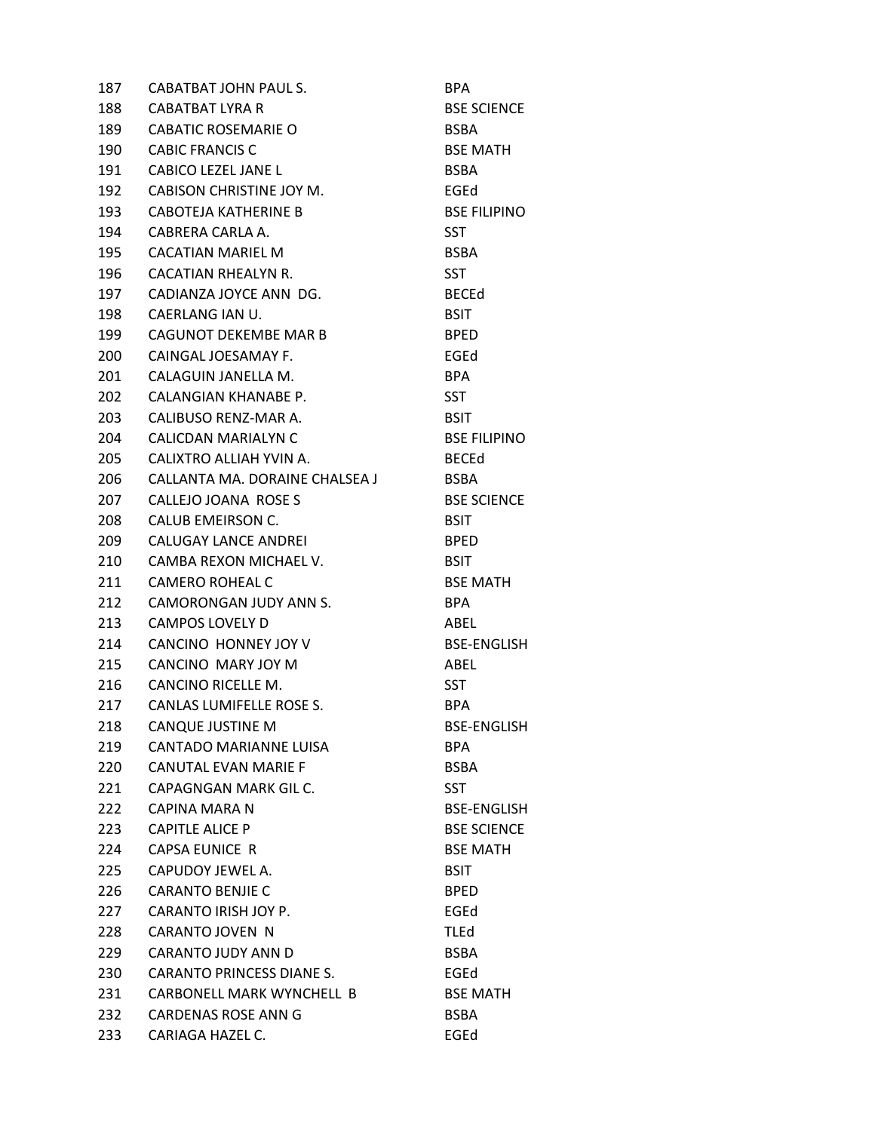| 187  | CABATBAT JOHN PAUL S.            | <b>BPA</b>          |
|------|----------------------------------|---------------------|
| 188  | CABATBAT LYRA R                  | <b>BSE SCIENCE</b>  |
| 189  | <b>CABATIC ROSEMARIE O</b>       | <b>BSBA</b>         |
| 190  | <b>CABIC FRANCIS C</b>           | <b>BSE MATH</b>     |
| 191  | <b>CABICO LEZEL JANE L</b>       | <b>BSBA</b>         |
| 192  | CABISON CHRISTINE JOY M.         | EGEd                |
| 193  | CABOTEJA KATHERINE B             | <b>BSE FILIPINO</b> |
| 194  | CABRERA CARLA A.                 | <b>SST</b>          |
| 195  | CACATIAN MARIEL M                | <b>BSBA</b>         |
| 196  | CACATIAN RHEALYN R.              | <b>SST</b>          |
| 197  | CADIANZA JOYCE ANN DG.           | <b>BECEd</b>        |
| 198  | CAERLANG IAN U.                  | <b>BSIT</b>         |
| 199  | CAGUNOT DEKEMBE MAR B            | <b>BPED</b>         |
| 200  | CAINGAL JOESAMAY F.              | EGEd                |
| 201  | CALAGUIN JANELLA M.              | <b>BPA</b>          |
| 202  | CALANGIAN KHANABE P.             | <b>SST</b>          |
| 203. | CALIBUSO RENZ-MAR A.             | <b>BSIT</b>         |
| 204  | CALICDAN MARIALYN C              | <b>BSE FILIPINO</b> |
| 205  | CALIXTRO ALLIAH YVIN A.          | <b>BECEd</b>        |
| 206  | CALLANTA MA. DORAINE CHALSEA J   | <b>BSBA</b>         |
| 207  | CALLEJO JOANA ROSE S             | <b>BSE SCIENCE</b>  |
| 208  | CALUB EMEIRSON C.                | <b>BSIT</b>         |
| 209  | CALUGAY LANCE ANDREI             | <b>BPED</b>         |
| 210  | CAMBA REXON MICHAEL V.           | <b>BSIT</b>         |
| 211  | CAMERO ROHEAL C                  | <b>BSE MATH</b>     |
| 212  | CAMORONGAN JUDY ANN S.           | BPA                 |
| 213  | CAMPOS LOVELY D                  | ABEL                |
| 214  | CANCINO HONNEY JOY V             | <b>BSE-ENGLISH</b>  |
| 215  | CANCINO MARY JOY M               | ABEL                |
| 216  | CANCINO RICELLE M.               | <b>SST</b>          |
| 217  | CANLAS LUMIFELLE ROSE S.         | BPA.                |
| 218  | <b>CANQUE JUSTINE M</b>          | <b>BSE-ENGLISH</b>  |
| 219  | CANTADO MARIANNE LUISA           | <b>BPA</b>          |
| 220  | CANUTAL EVAN MARIE F             | <b>BSBA</b>         |
| 221  | CAPAGNGAN MARK GIL C.            | <b>SST</b>          |
| 222  | CAPINA MARA N                    | <b>BSE-ENGLISH</b>  |
| 223  | <b>CAPITLE ALICE P</b>           | <b>BSE SCIENCE</b>  |
| 224  | <b>CAPSA EUNICE R</b>            | <b>BSE MATH</b>     |
| 225  | CAPUDOY JEWEL A.                 | <b>BSIT</b>         |
| 226  | <b>CARANTO BENJIE C</b>          | <b>BPED</b>         |
| 227  | CARANTO IRISH JOY P.             | EGEd                |
| 228  | CARANTO JOVEN N                  | TLEd                |
| 229  | CARANTO JUDY ANN D               | <b>BSBA</b>         |
| 230  | <b>CARANTO PRINCESS DIANE S.</b> | EGEd                |
| 231  | CARBONELL MARK WYNCHELL B        | <b>BSE MATH</b>     |
| 232  | CARDENAS ROSE ANN G              | <b>BSBA</b>         |
| 233  | CARIAGA HAZEL C.                 | EGEd                |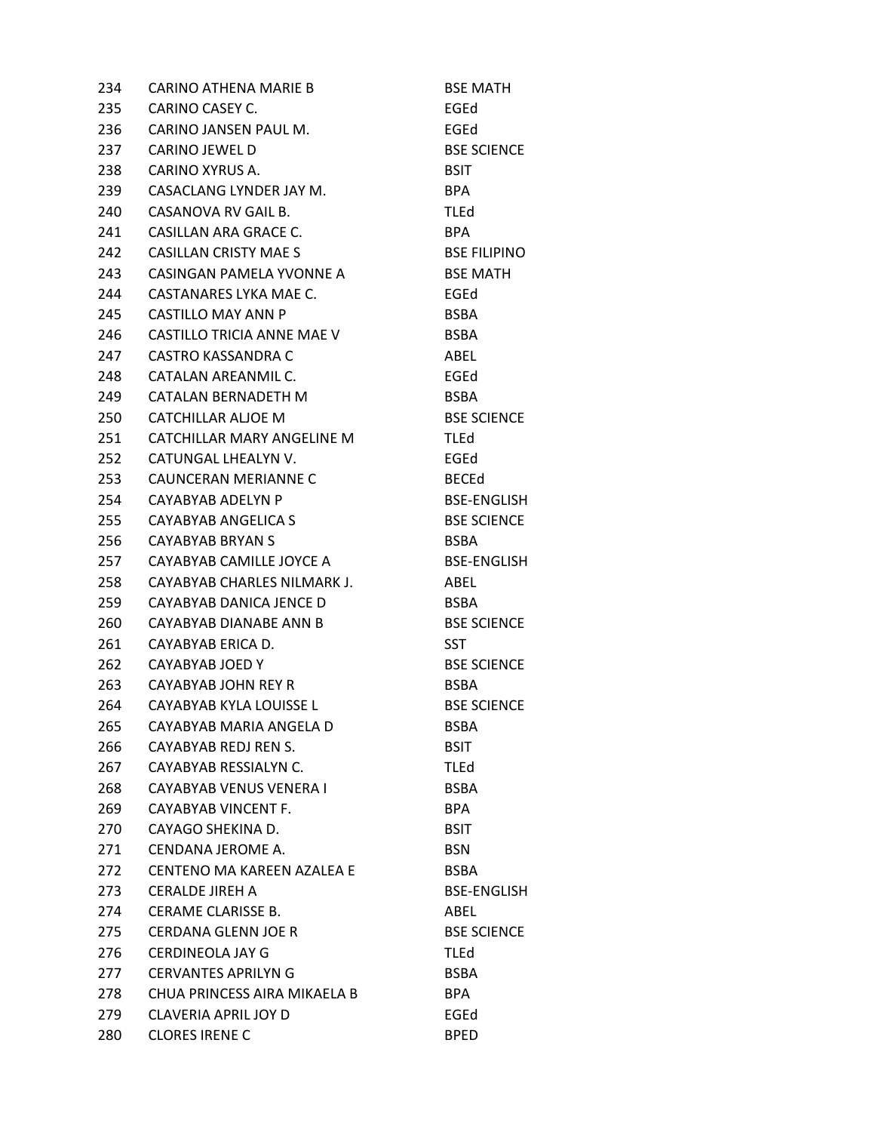| 234 | <b>CARINO ATHENA MARIE B</b> | <b>BSE MATH</b>     |
|-----|------------------------------|---------------------|
| 235 | CARINO CASEY C.              | EGEd                |
| 236 | CARINO JANSEN PAUL M.        | EGEd                |
| 237 | CARINO JEWEL D               | <b>BSE SCIENCE</b>  |
| 238 | CARINO XYRUS A.              | <b>BSIT</b>         |
| 239 | CASACLANG LYNDER JAY M.      | BPA                 |
| 240 | CASANOVA RV GAIL B.          | <b>TLEd</b>         |
| 241 | CASILLAN ARA GRACE C.        | BPA                 |
| 242 | <b>CASILLAN CRISTY MAE S</b> | <b>BSE FILIPINO</b> |
| 243 | CASINGAN PAMELA YVONNE A     | <b>BSE MATH</b>     |
| 244 | CASTANARES LYKA MAE C.       | EGEd                |
| 245 | CASTILLO MAY ANN P           | <b>BSBA</b>         |
| 246 | CASTILLO TRICIA ANNE MAE V   | <b>BSBA</b>         |
| 247 | CASTRO KASSANDRA C           | ABEL                |
| 248 | CATALAN AREANMIL C.          | EGEd                |
| 249 | CATALAN BERNADETH M          | <b>BSBA</b>         |
| 250 | CATCHILLAR ALJOE M           | <b>BSE SCIENCE</b>  |
| 251 | CATCHILLAR MARY ANGELINE M   | <b>TLEd</b>         |
| 252 | CATUNGAL LHEALYN V.          | EGEd                |
| 253 | CAUNCERAN MERIANNE C         | <b>BECEd</b>        |
| 254 | CAYABYAB ADELYN P            | <b>BSE-ENGLISH</b>  |
| 255 | CAYABYAB ANGELICA S          | <b>BSE SCIENCE</b>  |
| 256 | CAYABYAB BRYAN S             | <b>BSBA</b>         |
| 257 | CAYABYAB CAMILLE JOYCE A     | <b>BSE-ENGLISH</b>  |
| 258 | CAYABYAB CHARLES NILMARK J.  | ABEL                |
| 259 | CAYABYAB DANICA JENCE D      | <b>BSBA</b>         |
| 260 | CAYABYAB DIANABE ANN B       | <b>BSE SCIENCE</b>  |
| 261 | CAYABYAB ERICA D.            | <b>SST</b>          |
| 262 | CAYABYAB JOED Y              | <b>BSE SCIENCE</b>  |
| 263 | CAYABYAB JOHN REY R          | <b>BSBA</b>         |
| 264 | CAYABYAB KYLA LOUISSE L      | <b>BSE SCIENCE</b>  |
| 265 | CAYABYAB MARIA ANGELA D      | BSBA                |
| 266 | CAYABYAB REDJ REN S.         | <b>BSIT</b>         |
| 267 | CAYABYAB RESSIALYN C.        | <b>TLEd</b>         |
| 268 | CAYABYAB VENUS VENERA L      | <b>BSBA</b>         |
| 269 | CAYABYAB VINCENT F.          | <b>BPA</b>          |
| 270 | CAYAGO SHEKINA D.            | <b>BSIT</b>         |
| 271 | CENDANA JEROME A.            | <b>BSN</b>          |
| 272 | CENTENO MA KAREEN AZALEA E   | <b>BSBA</b>         |
| 273 | <b>CERALDE JIREH A</b>       | <b>BSE-ENGLISH</b>  |
| 274 | CERAME CLARISSE B.           | ABEL                |
| 275 | <b>CERDANA GLENN JOE R</b>   | <b>BSE SCIENCE</b>  |
| 276 | <b>CERDINEOLA JAY G</b>      | <b>TLEd</b>         |
| 277 | <b>CERVANTES APRILYNG</b>    | <b>BSBA</b>         |
| 278 | CHUA PRINCESS AIRA MIKAELA B | <b>BPA</b>          |
| 279 | CLAVERIA APRIL JOY D         | EGEd                |
| 280 | <b>CLORES IRENE C</b>        | <b>BPED</b>         |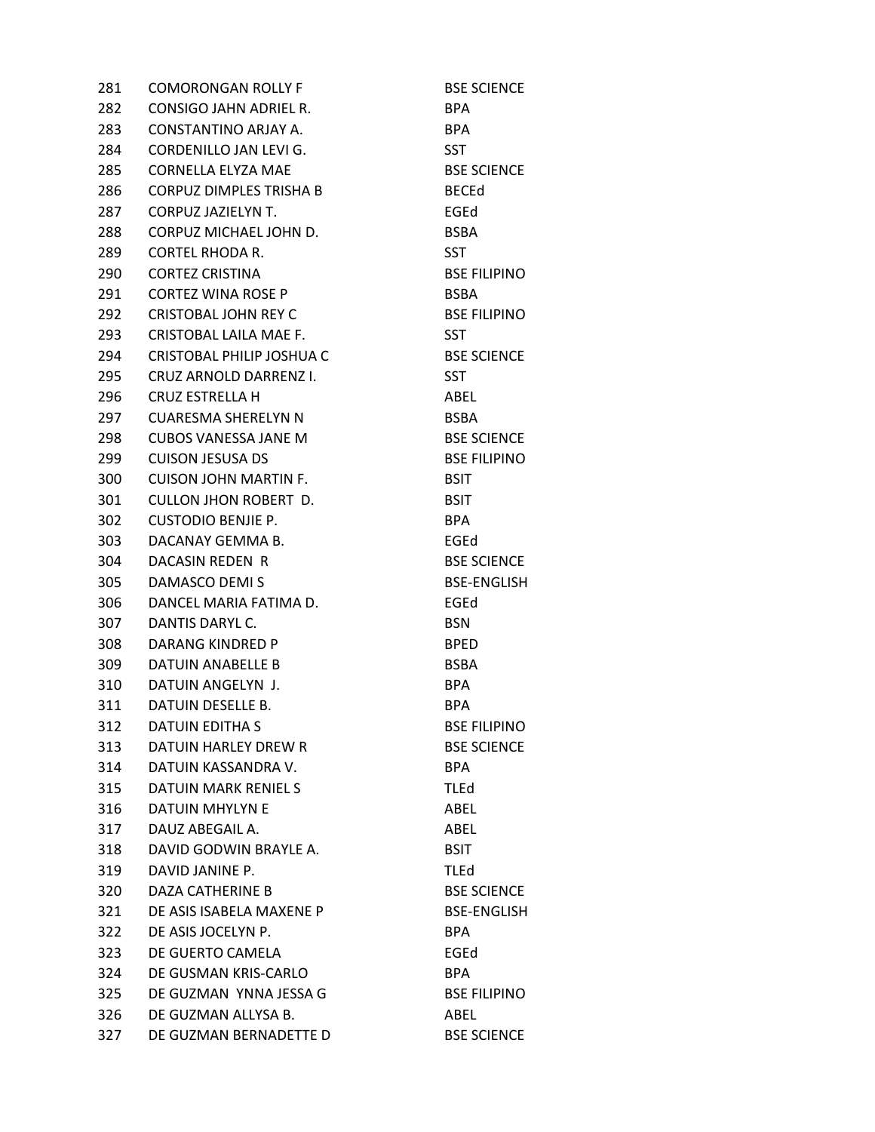281 COMORONGAN ROLLY F BSE SCIENCE 282 CONSIGO JAHN ADRIEL R. BPA 283 CONSTANTINO ARJAY A. BPA 284 CORDENILLO JAN LEVI G. SST 285 CORNELLA ELYZA MAE BSE SCIENCE 286 CORPUZ DIMPLES TRISHA B BECED 287 CORPUZ JAZIELYN T. EGEd 288 CORPUZ MICHAEL JOHN D. BSBA 289 CORTEL RHODA R. SST 290 CORTEZ CRISTINA BSE FILIPINO 291 CORTEZ WINA ROSE P<br>BSBA 292 CRISTOBAL JOHN REY C<br>BSE FILIPINO 293 CRISTOBAL LAILA MAE F. SST 294 CRISTOBAL PHILIP JOSHUA C BSE SCIENCE 295 CRUZ ARNOLD DARRENZ I. SST 296 CRUZ ESTRELLA H ABEL 297 CUARESMA SHERELYN N BSBA 298 CUBOS VANESSA JANE M<br>BSE SCIENCE 299 CUISON JESUSA DS<br>BSE FILIPINO 300 CUISON JOHN MARTIN F. BSIT 301 CULLON JHON ROBERT D. BSIT 302 CUSTODIO BENJIE P. BPA 303 DACANAY GEMMA B. EGEd 304 DACASIN REDEN R<br>BSE SCIENCE 305 DAMASCO DEMI S<br>BSE-ENGLISH 306 DANCEL MARIA FATIMA D. EGEd 307 DANTIS DARYL C. BSN 308 DARANG KINDRED P BPED 309 DATUIN ANABELLE B BSBA 310 DATUIN ANGELYN J. BPA 311 DATUIN DESELLE B. BPA 312 DATUIN EDITHA S
BSE FILIPINO 313 DATUIN HARLEY DREW R BSE SCIENCE 314 DATUIN KASSANDRA V. BPA 315 DATUIN MARK RENIEL S TLEd 316 DATUIN MHYLYN E ABEL 317 DAUZ ABEGAIL A. ABEL 318 DAVID GODWIN BRAYLE A. BSIT 319 DAVID JANINE P. TLEd 320 DAZA CATHERINE B BSE SCIENCE 321 DE ASIS ISABELA MAXENE P BSE-ENGLISH 322 DE ASIS JOCELYN P. BPA 323 DE GUERTO CAMELA EGEd 324 DE GUSMAN KRIS-CARLO BPA 325 DE GUZMAN YNNA JESSA G<br>BSE FILIPINO 326 DE GUZMAN ALLYSA B. ABEL 327 DE GUZMAN BERNADETTE D
BSE SCIENCE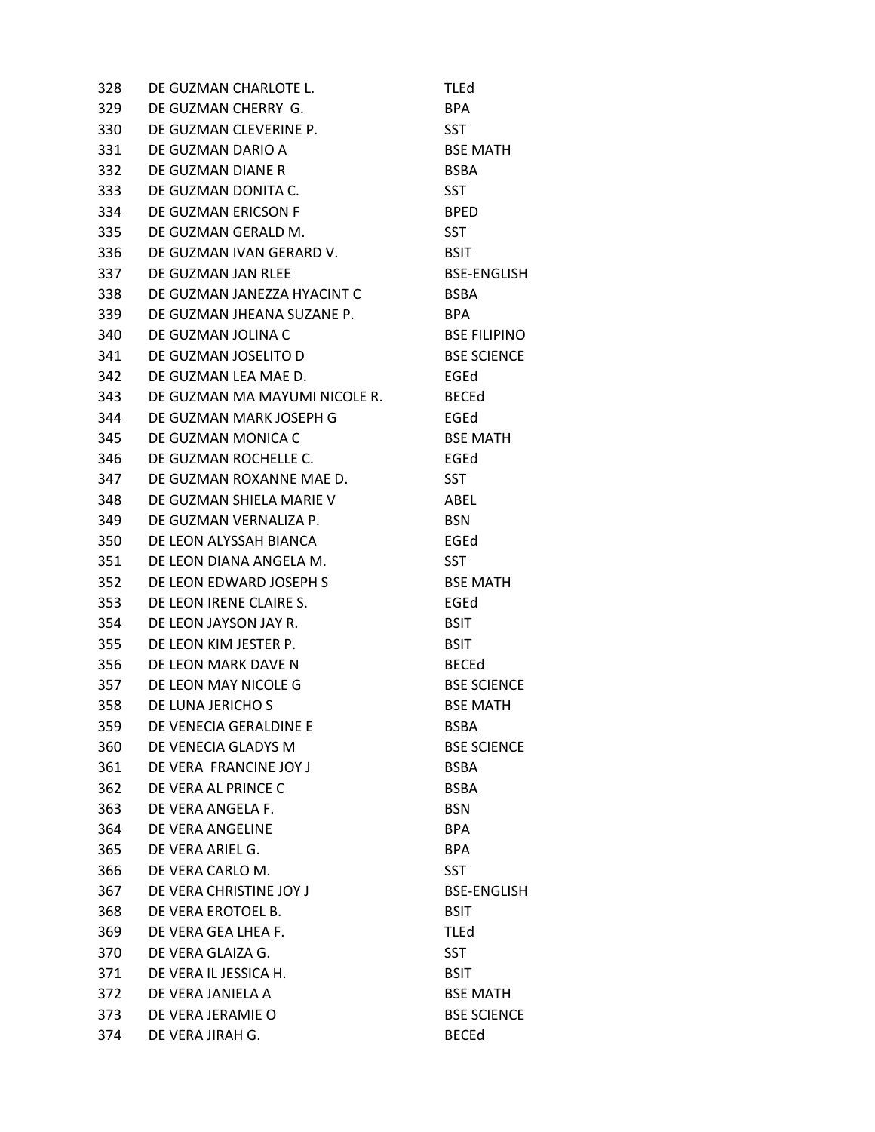328 DE GUZMAN CHARLOTE L. TLEd 329 DE GUZMAN CHERRY G. BPA 330 DE GUZMAN CLEVERINE P. SST 331 DE GUZMAN DARIO A BSE MATH 332 DE GUZMAN DIANE R<br>BSBA 333 DE GUZMAN DONITA C. SST 334 DE GUZMAN ERICSON F BPED 335 DE GUZMAN GERALD M. SST 336 DE GUZMAN IVAN GERARD V. BSIT 337 DE GUZMAN JAN RLEE BSE-ENGLISH 338 DE GUZMAN JANEZZA HYACINT C<br>BSBA 339 DE GUZMAN JHEANA SUZANE P. BPA 340 DE GUZMAN JOLINA C<br>BSE FILIPINO 341 DE GUZMAN JOSELITO D
BSE SCIENCE 342 DE GUZMAN LEA MAE D. EGEd 343 DE GUZMAN MA MAYUMI NICOLE R. BECEd 344 DE GUZMAN MARK JOSEPH G FGED 345 DE GUZMAN MONICA C<br>BSE MATH 346 DE GUZMAN ROCHELLE C. FRAGGED EGED 347 DE GUZMAN ROXANNE MAE D. SST 348 DE GUZMAN SHIELA MARIE V ABEL 349 DE GUZMAN VERNALIZA P. BSN 350 DE LEON ALYSSAH BIANCA EGEd 351 DE LEON DIANA ANGELA M. SST 352 DE LEON EDWARD JOSEPH S BSE MATH 353 DE LEON IRENE CLAIRE S. EGEd 354 DE LEON JAYSON JAY R. BSIT 355 DE LEON KIM JESTER P. BSIT 356 DE LEON MARK DAVE N BECED 357 DE LEON MAY NICOLE G<br>BSE SCIENCE 358 DE LUNA JERICHO S
BSE MATH 359 DE VENECIA GERALDINE E BSBA 360 DE VENECIA GLADYS M BSE SCIENCE 361 DE VERA FRANCINE JOY JAN BSBA 362 DE VERA AL PRINCE C<br>BSBA 363 DE VERA ANGELA F. BSN 364 DE VERA ANGELINE BPA 365 DE VERA ARIEL G. BPA 366 DE VERA CARLO M. SST 367 DE VERA CHRISTINE JOY J<br>BSE-ENGLISH 368 DE VERA EROTOEL B. BSIT 369 DE VERA GEA LHEA F. TLEd 370 DE VERA GLAIZA G. SST 371 DE VERA IL JESSICA H. BSIT 372 DE VERA JANIELA A BSE MATH 373 DE VERA JERAMIE O BSE SCIENCE 374 DE VERA JIRAH G. BECEd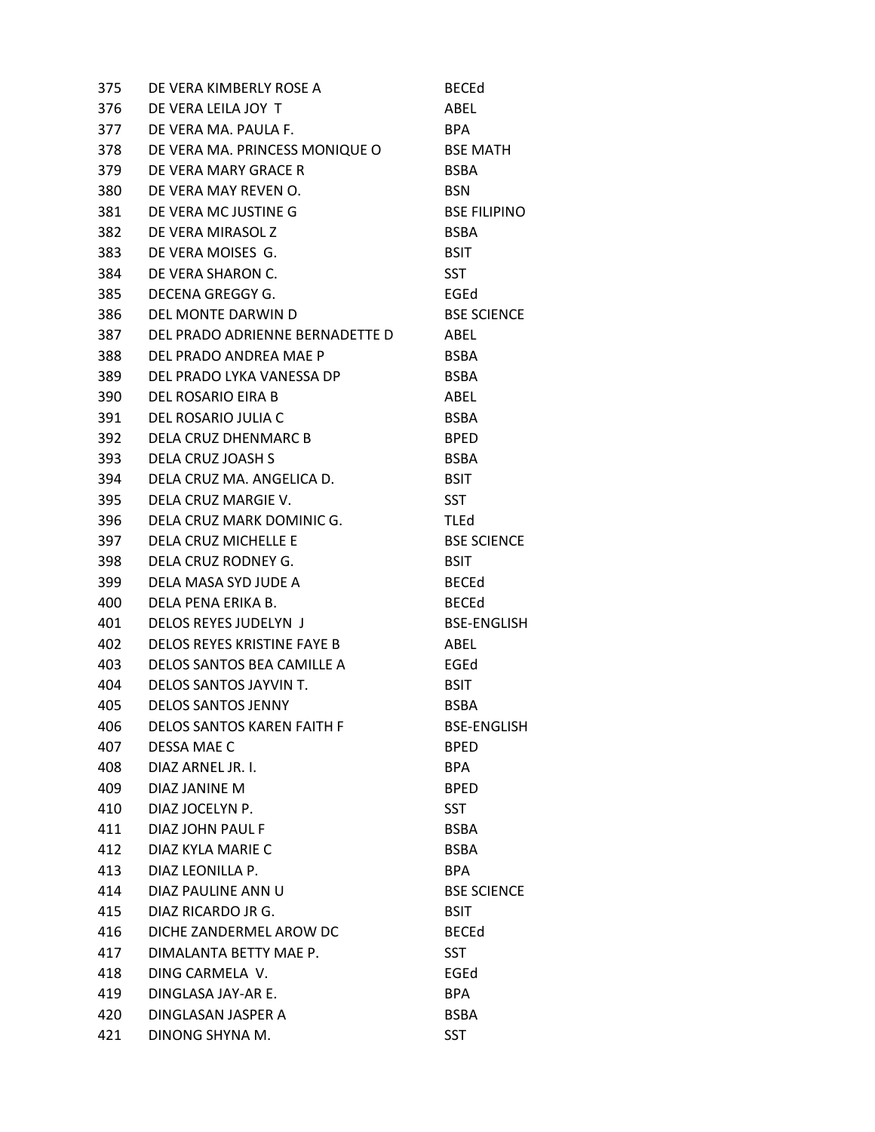| 375 | DE VERA KIMBERLY ROSE A           | <b>BECEd</b>        |
|-----|-----------------------------------|---------------------|
| 376 | DE VERA LEILA JOY T               | ABEL                |
| 377 | DE VERA MA. PAULA F.              | <b>BPA</b>          |
| 378 | DE VERA MA. PRINCESS MONIQUE O    | <b>BSE MATH</b>     |
| 379 | DE VERA MARY GRACE R              | <b>BSBA</b>         |
| 380 | DE VERA MAY REVEN O.              | <b>BSN</b>          |
| 381 | DE VERA MC JUSTINE G              | <b>BSE FILIPINO</b> |
| 382 | DE VERA MIRASOL Z                 | <b>BSBA</b>         |
| 383 | DE VERA MOISES G.                 | <b>BSIT</b>         |
| 384 | DE VERA SHARON C.                 | <b>SST</b>          |
| 385 | DECENA GREGGY G.                  | EGEd                |
| 386 | DEL MONTE DARWIN D                | <b>BSE SCIENCE</b>  |
| 387 | DEL PRADO ADRIENNE BERNADETTE D   | ABEL                |
| 388 | DEL PRADO ANDREA MAE P            | <b>BSBA</b>         |
| 389 | DEL PRADO LYKA VANESSA DP         | <b>BSBA</b>         |
| 390 | DEL ROSARIO EIRA B                | ABEL                |
| 391 | DEL ROSARIO JULIA C               | <b>BSBA</b>         |
| 392 | DELA CRUZ DHENMARC B              | <b>BPED</b>         |
| 393 | DELA CRUZ JOASH S                 | <b>BSBA</b>         |
| 394 | DELA CRUZ MA. ANGELICA D.         | <b>BSIT</b>         |
| 395 | DELA CRUZ MARGIE V.               | <b>SST</b>          |
| 396 | DELA CRUZ MARK DOMINIC G.         | TLEd                |
| 397 | DELA CRUZ MICHELLE E              | <b>BSE SCIENCE</b>  |
| 398 | DELA CRUZ RODNEY G.               | <b>BSIT</b>         |
| 399 | DELA MASA SYD JUDE A              | <b>BECEd</b>        |
| 400 | DELA PENA ERIKA B.                | <b>BECEd</b>        |
| 401 | DELOS REYES JUDELYN J             | <b>BSE-ENGLISH</b>  |
| 402 | DELOS REYES KRISTINE FAYE B       | ABEL                |
| 403 | DELOS SANTOS BEA CAMILLE A        | EGEd                |
| 404 | DELOS SANTOS JAYVIN T.            | <b>BSIT</b>         |
| 405 | <b>DELOS SANTOS JENNY</b>         | <b>BSBA</b>         |
| 406 | <b>DELOS SANTOS KAREN FAITH F</b> | <b>BSE-ENGLISH</b>  |
| 407 | DESSA MAE C                       | <b>BPED</b>         |
| 408 | DIAZ ARNEL JR. I.                 | <b>BPA</b>          |
| 409 | DIAZ JANINE M                     | <b>BPED</b>         |
| 410 | DIAZ JOCELYN P.                   | <b>SST</b>          |
| 411 | DIAZ JOHN PAUL F                  | <b>BSBA</b>         |
| 412 | DIAZ KYLA MARIE C                 | <b>BSBA</b>         |
| 413 | DIAZ LEONILLA P.                  | <b>BPA</b>          |
| 414 | DIAZ PAULINE ANN U                | <b>BSE SCIENCE</b>  |
| 415 | DIAZ RICARDO JR G.                | <b>BSIT</b>         |
| 416 | DICHE ZANDERMEL AROW DC           | <b>BECEd</b>        |
| 417 | DIMALANTA BETTY MAE P.            | <b>SST</b>          |
| 418 | DING CARMELA V.                   | EGEd                |
| 419 | DINGLASA JAY-AR E.                | <b>BPA</b>          |
| 420 | DINGLASAN JASPER A                | <b>BSBA</b>         |
| 421 | DINONG SHYNA M.                   | <b>SST</b>          |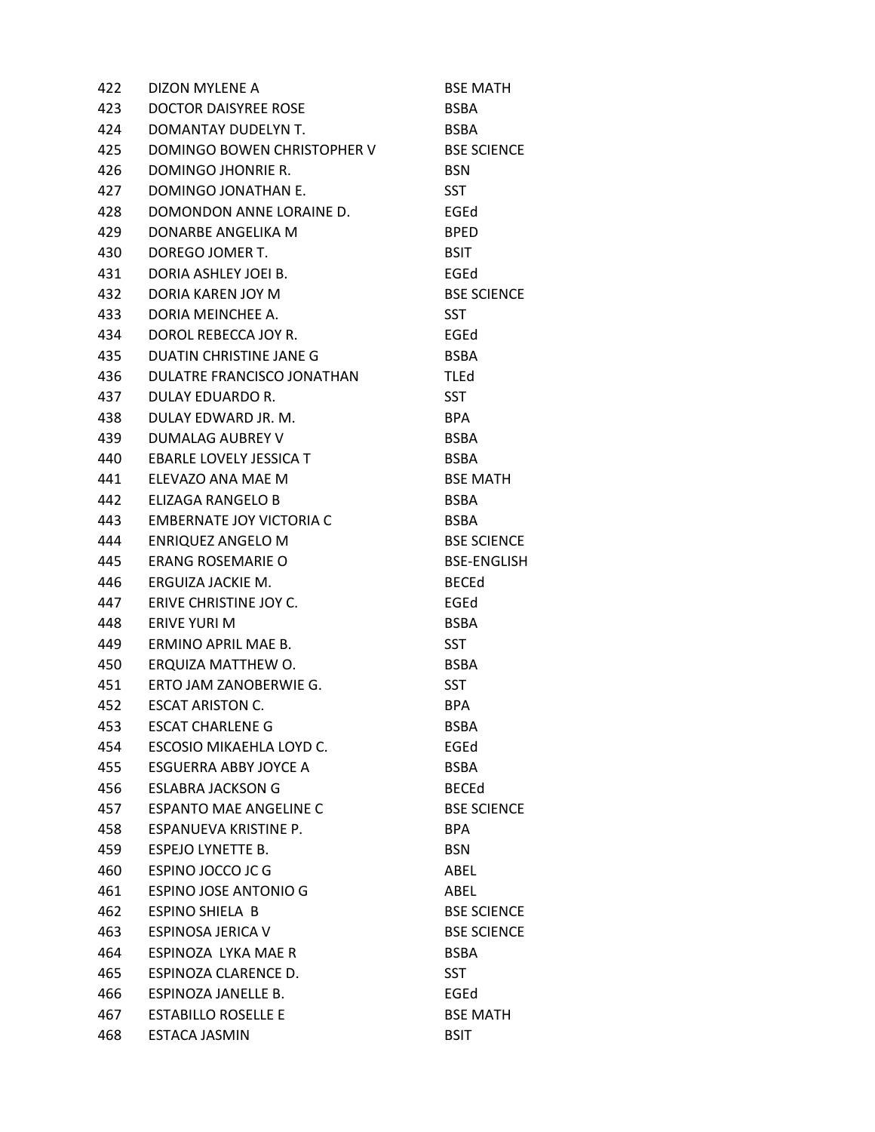| 422 | DIZON MYLENE A                | <b>BSE MATH</b>    |
|-----|-------------------------------|--------------------|
| 423 | DOCTOR DAISYREE ROSE          | <b>BSBA</b>        |
| 424 | DOMANTAY DUDELYN T.           | <b>BSBA</b>        |
| 425 | DOMINGO BOWEN CHRISTOPHER V   | <b>BSE SCIENCE</b> |
| 426 | DOMINGO JHONRIE R.            | <b>BSN</b>         |
| 427 | DOMINGO JONATHAN E.           | <b>SST</b>         |
| 428 | DOMONDON ANNE LORAINE D.      | EGEd               |
| 429 | DONARBE ANGELIKA M            | <b>BPED</b>        |
| 430 | DOREGO JOMER T.               | <b>BSIT</b>        |
| 431 | DORIA ASHLEY JOEI B.          | EGEd               |
| 432 | DORIA KAREN JOY M             | <b>BSE SCIENCE</b> |
| 433 | DORIA MEINCHEE A.             | <b>SST</b>         |
| 434 | DOROL REBECCA JOY R.          | EGEd               |
| 435 | DUATIN CHRISTINE JANE G       | <b>BSBA</b>        |
| 436 | DULATRE FRANCISCO JONATHAN    | <b>TLEd</b>        |
| 437 | DULAY EDUARDO R.              | <b>SST</b>         |
| 438 | DULAY EDWARD JR. M.           | <b>BPA</b>         |
| 439 | <b>DUMALAG AUBREY V</b>       | <b>BSBA</b>        |
| 440 | EBARLE LOVELY JESSICA T       | <b>BSBA</b>        |
| 441 | ELEVAZO ANA MAE M             | <b>BSE MATH</b>    |
| 442 | ELIZAGA RANGELO B             | <b>BSBA</b>        |
| 443 | EMBERNATE JOY VICTORIA C      | <b>BSBA</b>        |
| 444 | <b>ENRIQUEZ ANGELO M</b>      | <b>BSE SCIENCE</b> |
| 445 | ERANG ROSEMARIE O             | <b>BSE-ENGLISH</b> |
| 446 | ERGUIZA JACKIE M.             | <b>BECEd</b>       |
| 447 | ERIVE CHRISTINE JOY C.        | EGEd               |
| 448 | ERIVE YURI M                  | <b>BSBA</b>        |
| 449 | ERMINO APRIL MAE B.           | <b>SST</b>         |
| 450 | ERQUIZA MATTHEW O.            | <b>BSBA</b>        |
| 451 | ERTO JAM ZANOBERWIE G.        | <b>SST</b>         |
| 452 | <b>ESCAT ARISTON C.</b>       | <b>BPA</b>         |
| 453 | <b>ESCAT CHARLENE G</b>       | <b>BSBA</b>        |
| 454 | ESCOSIO MIKAEHLA LOYD C.      | EGEd               |
| 455 | ESGUERRA ABBY JOYCE A         | <b>BSBA</b>        |
| 456 | <b>ESLABRA JACKSON G</b>      | <b>BECEd</b>       |
| 457 | <b>ESPANTO MAE ANGELINE C</b> | <b>BSE SCIENCE</b> |
| 458 | ESPANUEVA KRISTINE P.         | <b>BPA</b>         |
| 459 | ESPEJO LYNETTE B.             | <b>BSN</b>         |
| 460 | ESPINO JOCCO JC G             | ABEL               |
| 461 | <b>ESPINO JOSE ANTONIO G</b>  | ABEL               |
| 462 | <b>ESPINO SHIELA B</b>        | <b>BSE SCIENCE</b> |
| 463 | ESPINOSA JERICA V             | <b>BSE SCIENCE</b> |
| 464 | ESPINOZA LYKA MAE R           | <b>BSBA</b>        |
| 465 | ESPINOZA CLARENCE D.          | <b>SST</b>         |
| 466 | ESPINOZA JANELLE B.           | EGEd               |
| 467 | <b>ESTABILLO ROSELLE E</b>    | <b>BSE MATH</b>    |
| 468 | ESTACA JASMIN                 | <b>BSIT</b>        |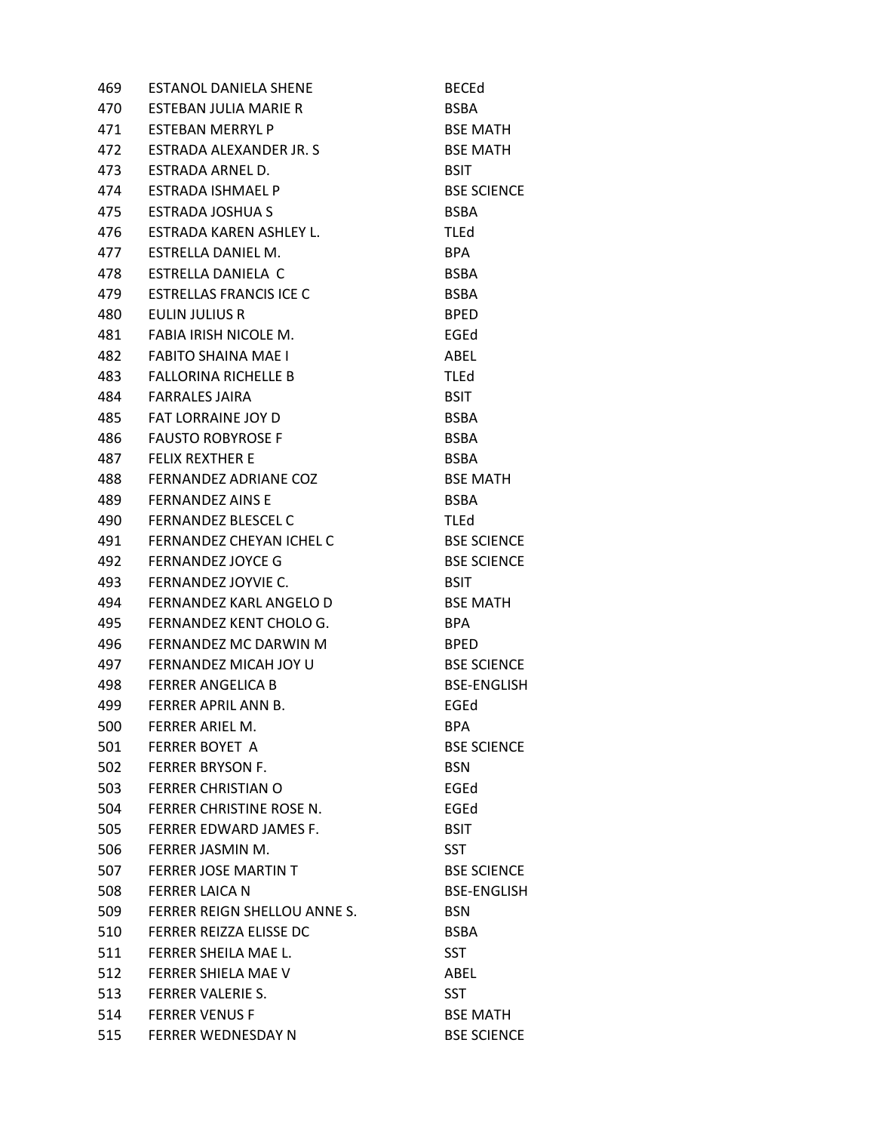| 469 | <b>ESTANOL DANIELA SHENE</b>   | <b>BECEd</b>       |
|-----|--------------------------------|--------------------|
| 470 | ESTEBAN JULIA MARIE R          | <b>BSBA</b>        |
| 471 | <b>ESTEBAN MERRYL P</b>        | <b>BSE MATH</b>    |
| 472 | ESTRADA ALEXANDER JR. S.       | <b>BSE MATH</b>    |
| 473 | ESTRADA ARNEL D.               | <b>BSIT</b>        |
| 474 | <b>ESTRADA ISHMAEL P</b>       | <b>BSE SCIENCE</b> |
| 475 | ESTRADA JOSHUA S               | <b>BSBA</b>        |
| 476 | ESTRADA KAREN ASHLEY L.        | <b>TLEd</b>        |
| 477 | ESTRELLA DANIEL M.             | <b>BPA</b>         |
| 478 | ESTRELLA DANIELA C             | <b>BSBA</b>        |
| 479 | <b>ESTRELLAS FRANCIS ICE C</b> | <b>BSBA</b>        |
| 480 | EULIN JULIUS R                 | <b>BPED</b>        |
| 481 | FABIA IRISH NICOLE M.          | EGEd               |
| 482 | <b>FABITO SHAINA MAE I</b>     | ABEL               |
| 483 | <b>FALLORINA RICHELLE B</b>    | <b>TLEd</b>        |
| 484 | <b>FARRALES JAIRA</b>          | <b>BSIT</b>        |
| 485 | <b>FAT LORRAINE JOY D</b>      | <b>BSBA</b>        |
| 486 | <b>FAUSTO ROBYROSE F</b>       | <b>BSBA</b>        |
| 487 | <b>FELIX REXTHER E</b>         | <b>BSBA</b>        |
| 488 | FERNANDEZ ADRIANE COZ          | <b>BSE MATH</b>    |
| 489 | <b>FERNANDEZ AINS E</b>        | <b>BSBA</b>        |
| 490 | <b>FERNANDEZ BLESCEL C</b>     | <b>TLEd</b>        |
| 491 | FERNANDEZ CHEYAN ICHEL C       | <b>BSE SCIENCE</b> |
| 492 | <b>FERNANDEZ JOYCE G</b>       | <b>BSE SCIENCE</b> |
| 493 | FERNANDEZ JOYVIE C.            | <b>BSIT</b>        |
| 494 | FERNANDEZ KARL ANGELO D        | <b>BSE MATH</b>    |
| 495 | FERNANDEZ KENT CHOLO G.        | <b>BPA</b>         |
| 496 | FERNANDEZ MC DARWIN M          | <b>BPED</b>        |
| 497 | FERNANDEZ MICAH JOY U          | <b>BSE SCIENCE</b> |
| 498 | <b>FERRER ANGELICA B</b>       | <b>BSE-ENGLISH</b> |
| 499 | FERRER APRIL ANN B.            | EGEd               |
| 500 | FERRER ARIEL M.                | <b>BPA</b>         |
| 501 | <b>FERRER BOYET A</b>          | <b>BSE SCIENCE</b> |
| 502 | <b>FERRER BRYSON F.</b>        | <b>BSN</b>         |
| 503 | <b>FERRER CHRISTIAN O</b>      | EGEd               |
| 504 | FERRER CHRISTINE ROSE N.       | EGEd               |
| 505 | <b>FERRER EDWARD JAMES F.</b>  | <b>BSIT</b>        |
| 506 | FERRER JASMIN M.               | <b>SST</b>         |
| 507 | <b>FERRER JOSE MARTIN T</b>    | <b>BSE SCIENCE</b> |
| 508 | <b>FERRER LAICA N</b>          | <b>BSE-ENGLISH</b> |
| 509 | FERRER REIGN SHELLOU ANNE S.   | <b>BSN</b>         |
| 510 | FERRER REIZZA ELISSE DC        | <b>BSBA</b>        |
| 511 | FERRER SHEILA MAE L.           | <b>SST</b>         |
| 512 | FERRER SHIELA MAE V            | ABEL               |
| 513 | <b>FERRER VALERIE S.</b>       | <b>SST</b>         |
| 514 | <b>FERRER VENUS F</b>          | <b>BSE MATH</b>    |
| 515 | <b>FERRER WEDNESDAY N</b>      | <b>BSE SCIENCE</b> |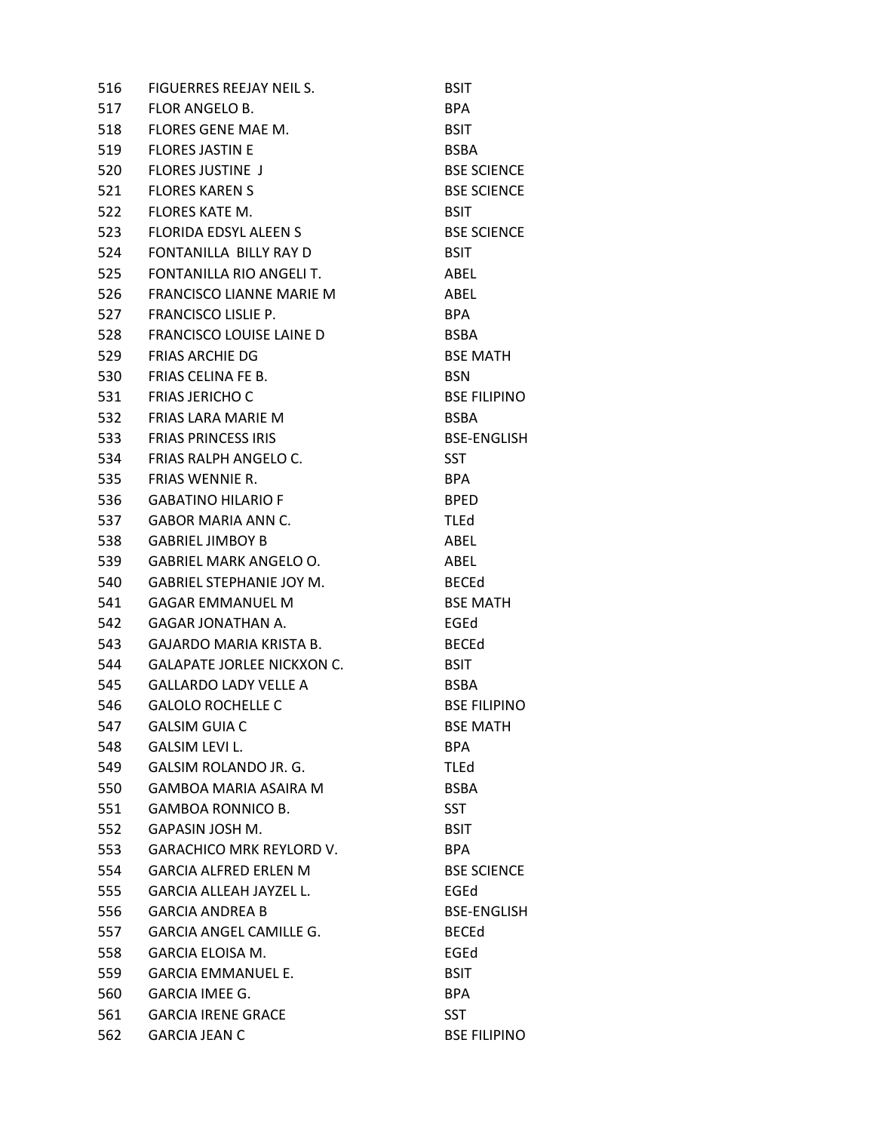| 516 | FIGUERRES REEJAY NEIL S.          | <b>BSIT</b>         |
|-----|-----------------------------------|---------------------|
| 517 | <b>FLOR ANGELO B.</b>             | <b>BPA</b>          |
| 518 | FLORES GENE MAE M.                | <b>BSIT</b>         |
| 519 | <b>FLORES JASTIN E</b>            | <b>BSBA</b>         |
| 520 | <b>FLORES JUSTINE J</b>           | <b>BSE SCIENCE</b>  |
| 521 | <b>FLORES KAREN S</b>             | <b>BSE SCIENCE</b>  |
| 522 | <b>FLORES KATE M.</b>             | <b>BSIT</b>         |
| 523 | <b>FLORIDA EDSYL ALEEN S</b>      | <b>BSE SCIENCE</b>  |
| 524 | FONTANILLA BILLY RAY D            | <b>BSIT</b>         |
| 525 | FONTANILLA RIO ANGELI T.          | ABEL                |
| 526 | FRANCISCO LIANNE MARIE M          | ABEL                |
| 527 | FRANCISCO LISLIE P.               | BPA                 |
| 528 | <b>FRANCISCO LOUISE LAINE D</b>   | <b>BSBA</b>         |
| 529 | <b>FRIAS ARCHIE DG</b>            | <b>BSE MATH</b>     |
| 530 | <b>FRIAS CELINA FE B.</b>         | <b>BSN</b>          |
| 531 | <b>FRIAS JERICHO C</b>            | <b>BSE FILIPINO</b> |
| 532 | FRIAS LARA MARIE M                | <b>BSBA</b>         |
| 533 | <b>FRIAS PRINCESS IRIS</b>        | <b>BSE-ENGLISH</b>  |
| 534 | FRIAS RALPH ANGELO C.             | <b>SST</b>          |
| 535 | <b>FRIAS WENNIE R.</b>            | <b>BPA</b>          |
| 536 | <b>GABATINO HILARIO F</b>         | <b>BPED</b>         |
| 537 | GABOR MARIA ANN C.                | <b>TLEd</b>         |
| 538 | <b>GABRIEL JIMBOY B</b>           | ABEL                |
| 539 | <b>GABRIEL MARK ANGELO O.</b>     | ABEL                |
| 540 | <b>GABRIEL STEPHANIE JOY M.</b>   | <b>BECEd</b>        |
| 541 | <b>GAGAR EMMANUEL M</b>           | <b>BSE MATH</b>     |
| 542 | <b>GAGAR JONATHAN A.</b>          | EGEd                |
| 543 | <b>GAJARDO MARIA KRISTA B.</b>    | <b>BECEd</b>        |
| 544 | <b>GALAPATE JORLEE NICKXON C.</b> | <b>BSIT</b>         |
| 545 | <b>GALLARDO LADY VELLE A</b>      | <b>BSBA</b>         |
| 546 | <b>GALOLO ROCHELLE C</b>          | <b>BSE FILIPINO</b> |
| 547 | <b>GALSIM GUIA C</b>              | <b>BSE MATH</b>     |
| 548 | <b>GALSIM LEVI L.</b>             | <b>BPA</b>          |
| 549 | <b>GALSIM ROLANDO JR. G.</b>      | <b>TLEd</b>         |
| 550 | <b>GAMBOA MARIA ASAIRA M</b>      | <b>BSBA</b>         |
| 551 | <b>GAMBOA RONNICO B.</b>          | <b>SST</b>          |
| 552 | GAPASIN JOSH M.                   | <b>BSIT</b>         |
| 553 | <b>GARACHICO MRK REYLORD V.</b>   | <b>BPA</b>          |
| 554 | <b>GARCIA ALFRED ERLEN M</b>      | <b>BSE SCIENCE</b>  |
| 555 | <b>GARCIA ALLEAH JAYZEL L.</b>    | EGEd                |
| 556 | <b>GARCIA ANDREA B</b>            | <b>BSE-ENGLISH</b>  |
| 557 | <b>GARCIA ANGEL CAMILLE G.</b>    | <b>BECEd</b>        |
| 558 | <b>GARCIA ELOISA M.</b>           | EGEd                |
| 559 | <b>GARCIA EMMANUEL E.</b>         | <b>BSIT</b>         |
| 560 | <b>GARCIA IMEE G.</b>             | <b>BPA</b>          |
| 561 | <b>GARCIA IRENE GRACE</b>         | SST                 |
| 562 | <b>GARCIA JEAN C</b>              | <b>BSE FILIPINO</b> |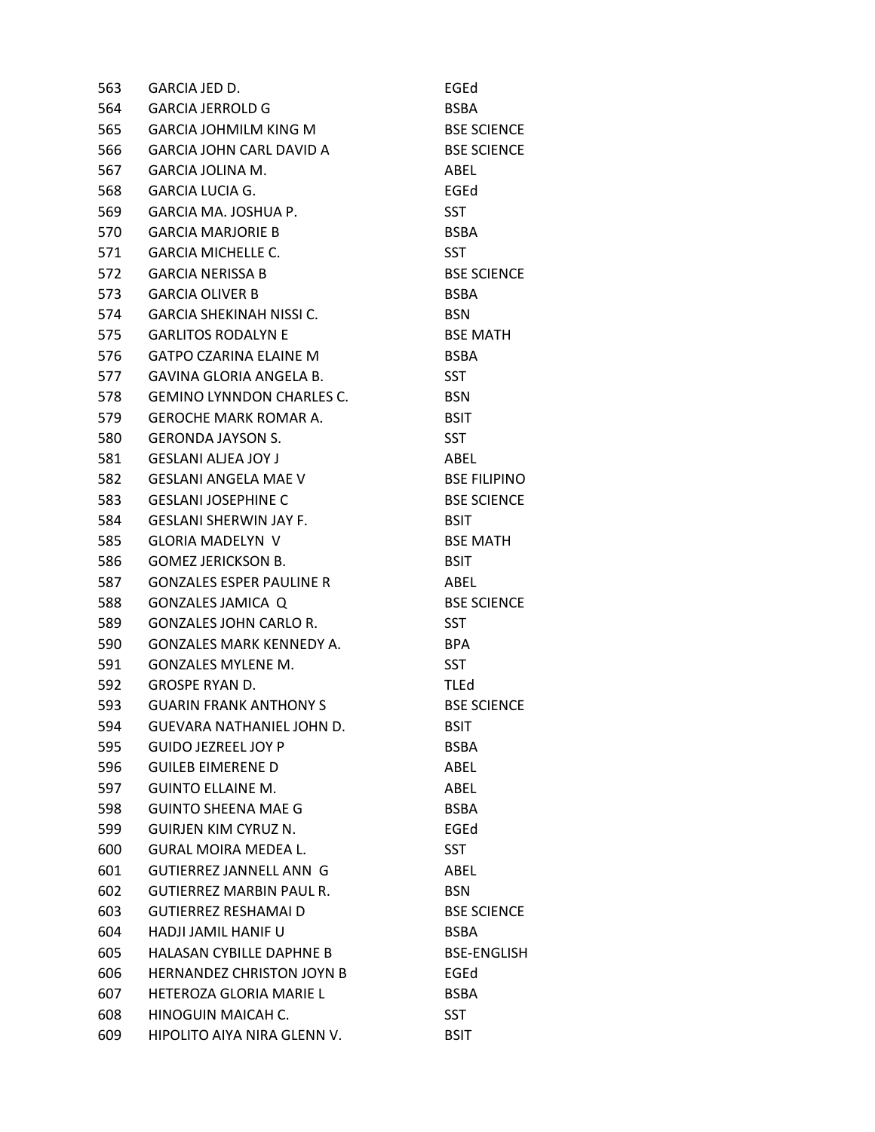| 563 | GARCIA JED D.                    | EGEd                |
|-----|----------------------------------|---------------------|
| 564 | <b>GARCIA JERROLD G</b>          | <b>BSBA</b>         |
| 565 | <b>GARCIA JOHMILM KING M</b>     | <b>BSE SCIENCE</b>  |
| 566 | GARCIA JOHN CARL DAVID A         | <b>BSE SCIENCE</b>  |
| 567 | GARCIA JOLINA M.                 | ABEL                |
| 568 | <b>GARCIA LUCIA G.</b>           | EGEd                |
| 569 | GARCIA MA. JOSHUA P.             | <b>SST</b>          |
| 570 | <b>GARCIA MARJORIE B</b>         | <b>BSBA</b>         |
| 571 | <b>GARCIA MICHELLE C.</b>        | <b>SST</b>          |
| 572 | <b>GARCIA NERISSA B</b>          | <b>BSE SCIENCE</b>  |
| 573 | <b>GARCIA OLIVER B</b>           | <b>BSBA</b>         |
| 574 | <b>GARCIA SHEKINAH NISSI C.</b>  | <b>BSN</b>          |
| 575 | <b>GARLITOS RODALYN E</b>        | <b>BSE MATH</b>     |
| 576 | GATPO CZARINA ELAINE M           | <b>BSBA</b>         |
| 577 | GAVINA GLORIA ANGELA B.          | <b>SST</b>          |
| 578 | <b>GEMINO LYNNDON CHARLES C.</b> | <b>BSN</b>          |
| 579 | <b>GEROCHE MARK ROMAR A.</b>     | <b>BSIT</b>         |
| 580 | <b>GERONDA JAYSON S.</b>         | <b>SST</b>          |
| 581 | <b>GESLANI ALJEA JOY J</b>       | ABEL                |
| 582 | <b>GESLANI ANGELA MAE V</b>      | <b>BSE FILIPINO</b> |
| 583 | <b>GESLANI JOSEPHINE C</b>       | <b>BSE SCIENCE</b>  |
| 584 | <b>GESLANI SHERWIN JAY F.</b>    | <b>BSIT</b>         |
| 585 | <b>GLORIA MADELYN V</b>          | <b>BSE MATH</b>     |
| 586 | <b>GOMEZ JERICKSON B.</b>        | <b>BSIT</b>         |
| 587 | <b>GONZALES ESPER PAULINE R</b>  | ABEL                |
| 588 | <b>GONZALES JAMICA Q</b>         | <b>BSE SCIENCE</b>  |
| 589 | <b>GONZALES JOHN CARLO R.</b>    | <b>SST</b>          |
| 590 | <b>GONZALES MARK KENNEDY A.</b>  | <b>BPA</b>          |
| 591 | <b>GONZALES MYLENE M.</b>        | <b>SST</b>          |
| 592 | <b>GROSPE RYAN D.</b>            | TLEd                |
| 593 | <b>GUARIN FRANK ANTHONY S</b>    | <b>BSE SCIENCE</b>  |
| 594 | GUEVARA NATHANIEL JOHN D.        | <b>BSIT</b>         |
| 595 | <b>GUIDO JEZREEL JOY P</b>       | <b>BSBA</b>         |
| 596 | <b>GUILEB EIMERENE D</b>         | ABEL                |
| 597 | <b>GUINTO ELLAINE M.</b>         | ABEL                |
| 598 | <b>GUINTO SHEENA MAE G</b>       | <b>BSBA</b>         |
| 599 | <b>GUIRJEN KIM CYRUZ N.</b>      | EGEd                |
| 600 | <b>GURAL MOIRA MEDEA L.</b>      | <b>SST</b>          |
| 601 | <b>GUTIERREZ JANNELL ANN G</b>   | ABEL                |
| 602 | <b>GUTIERREZ MARBIN PAUL R.</b>  | <b>BSN</b>          |
| 603 | <b>GUTIERREZ RESHAMAI D</b>      | <b>BSE SCIENCE</b>  |
| 604 | <b>HADJI JAMIL HANIF U</b>       | <b>BSBA</b>         |
| 605 | <b>HALASAN CYBILLE DAPHNE B</b>  | <b>BSE-ENGLISH</b>  |
| 606 | <b>HERNANDEZ CHRISTON JOYN B</b> | EGEd                |
| 607 | HETEROZA GLORIA MARIE L          | <b>BSBA</b>         |
| 608 | HINOGUIN MAICAH C.               | <b>SST</b>          |
| 609 | HIPOLITO AIYA NIRA GLENN V.      | <b>BSIT</b>         |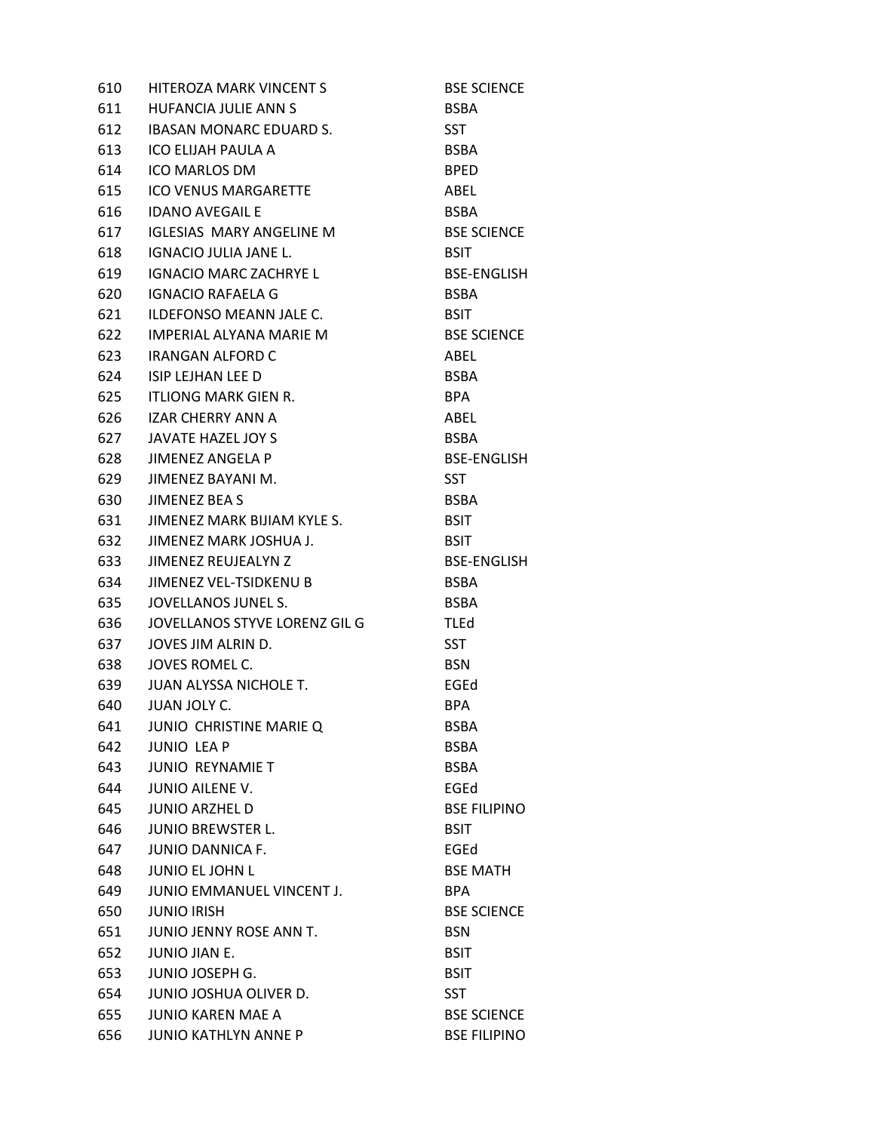| 610 | HITEROZA MARK VINCENT S         | <b>BSE SCIENCE</b>  |
|-----|---------------------------------|---------------------|
| 611 | HUFANCIA JULIE ANN S            | <b>BSBA</b>         |
| 612 | <b>IBASAN MONARC EDUARD S.</b>  | <b>SST</b>          |
| 613 | ICO ELIJAH PAULA A              | <b>BSBA</b>         |
| 614 | ICO MARLOS DM                   | <b>BPED</b>         |
| 615 | <b>ICO VENUS MARGARETTE</b>     | ABEL                |
| 616 | <b>IDANO AVEGAIL E</b>          | <b>BSBA</b>         |
| 617 | <b>IGLESIAS MARY ANGELINE M</b> | <b>BSE SCIENCE</b>  |
| 618 | IGNACIO JULIA JANE L.           | <b>BSIT</b>         |
| 619 | <b>IGNACIO MARC ZACHRYE L</b>   | <b>BSE-ENGLISH</b>  |
| 620 | <b>IGNACIO RAFAELA G</b>        | <b>BSBA</b>         |
| 621 | ILDEFONSO MEANN JALE C.         | <b>BSIT</b>         |
| 622 | IMPERIAL ALYANA MARIE M         | <b>BSE SCIENCE</b>  |
| 623 | <b>IRANGAN ALFORD C</b>         | ABEL                |
| 624 | <b>ISIP LEJHAN LEE D</b>        | <b>BSBA</b>         |
| 625 | ITLIONG MARK GIEN R.            | <b>BPA</b>          |
| 626 | IZAR CHERRY ANN A               | ABEL                |
| 627 | JAVATE HAZEL JOY S              | <b>BSBA</b>         |
| 628 | <b>JIMENEZ ANGELA P</b>         | <b>BSE-ENGLISH</b>  |
| 629 | JIMENEZ BAYANI M.               | <b>SST</b>          |
| 630 | JIMENEZ BEA S                   | <b>BSBA</b>         |
| 631 | JIMENEZ MARK BIJIAM KYLE S.     | <b>BSIT</b>         |
| 632 | JIMENEZ MARK JOSHUA J.          | <b>BSIT</b>         |
| 633 | JIMENEZ REUJEALYN Z             | <b>BSE-ENGLISH</b>  |
| 634 | JIMENEZ VEL-TSIDKENU B          | <b>BSBA</b>         |
| 635 | JOVELLANOS JUNEL S.             | <b>BSBA</b>         |
| 636 | JOVELLANOS STYVE LORENZ GIL G   | <b>TLEd</b>         |
| 637 | JOVES JIM ALRIN D.              | <b>SST</b>          |
| 638 | JOVES ROMEL C.                  | <b>BSN</b>          |
| 639 | JUAN ALYSSA NICHOLE T.          | EGEd                |
| 640 | <b>JUAN JOLY C.</b>             | <b>BPA</b>          |
| 641 | JUNIO CHRISTINE MARIE Q         | <b>BSBA</b>         |
| 642 | <b>JUNIO LEAP</b>               | <b>BSBA</b>         |
| 643 | <b>JUNIO REYNAMIE T</b>         | <b>BSBA</b>         |
| 644 | <b>JUNIO AILENE V.</b>          | EGEd                |
| 645 | <b>JUNIO ARZHEL D</b>           | <b>BSE FILIPINO</b> |
| 646 | <b>JUNIO BREWSTER L.</b>        | <b>BSIT</b>         |
| 647 | <b>JUNIO DANNICA F.</b>         | EGEd                |
| 648 | <b>JUNIO EL JOHN L</b>          | <b>BSE MATH</b>     |
| 649 | JUNIO EMMANUEL VINCENT J.       | <b>BPA</b>          |
| 650 | <b>JUNIO IRISH</b>              | <b>BSE SCIENCE</b>  |
| 651 | JUNIO JENNY ROSE ANN T.         | <b>BSN</b>          |
| 652 | JUNIO JIAN E.                   | <b>BSIT</b>         |
| 653 | <b>JUNIO JOSEPH G.</b>          | <b>BSIT</b>         |
| 654 | JUNIO JOSHUA OLIVER D.          | <b>SST</b>          |
| 655 | <b>JUNIO KAREN MAE A</b>        | <b>BSE SCIENCE</b>  |
| 656 | <b>JUNIO KATHLYN ANNE P</b>     | <b>BSE FILIPINO</b> |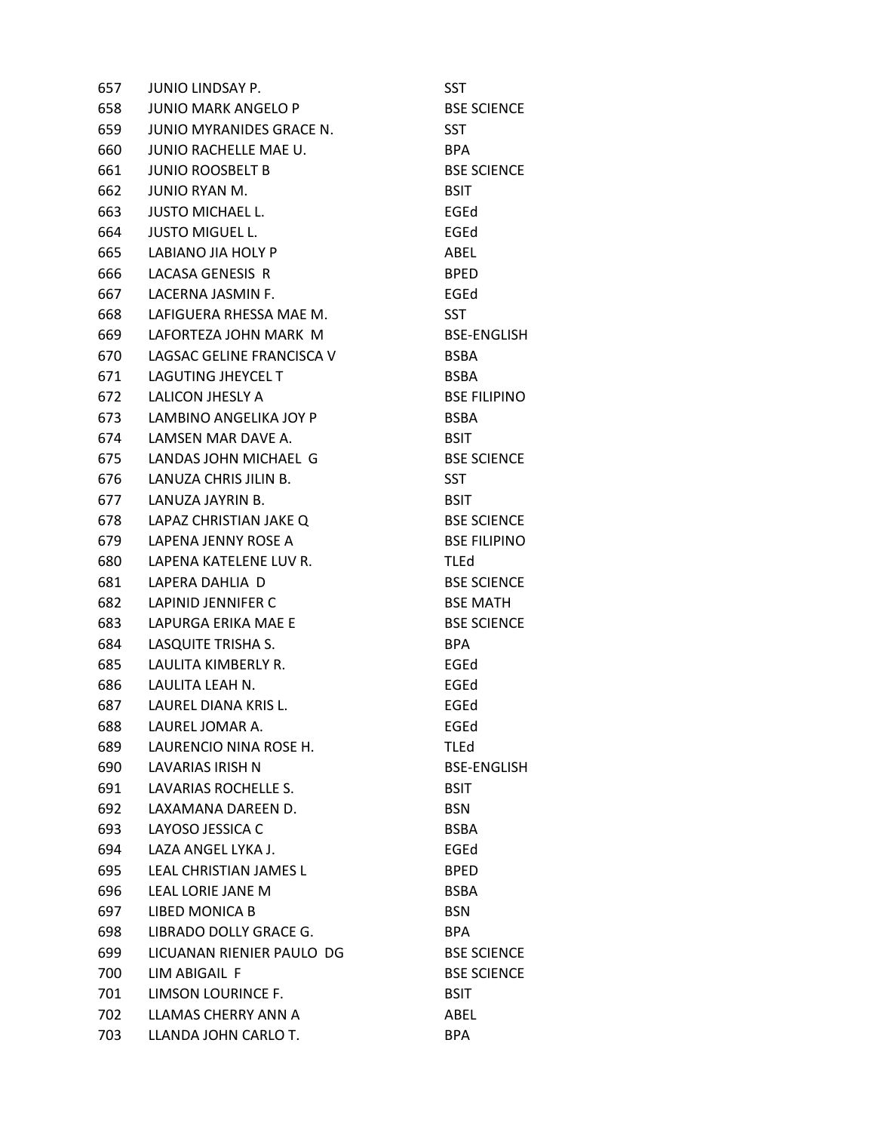| 657 | <b>JUNIO LINDSAY P.</b>    | SST                 |
|-----|----------------------------|---------------------|
| 658 | <b>JUNIO MARK ANGELO P</b> | <b>BSE SCIENCE</b>  |
| 659 | JUNIO MYRANIDES GRACE N.   | <b>SST</b>          |
| 660 | JUNIO RACHELLE MAE U.      | BPA.                |
| 661 | <b>JUNIO ROOSBELT B</b>    | <b>BSE SCIENCE</b>  |
| 662 | JUNIO RYAN M.              | <b>BSIT</b>         |
| 663 | <b>JUSTO MICHAEL L.</b>    | EGEd                |
| 664 | <b>JUSTO MIGUEL L.</b>     | EGEd                |
| 665 | LABIANO JIA HOLY P         | ABEL                |
| 666 | LACASA GENESIS R           | <b>BPED</b>         |
| 667 | LACERNA JASMIN F.          | EGEd                |
| 668 | LAFIGUERA RHESSA MAE M.    | <b>SST</b>          |
| 669 | LAFORTEZA JOHN MARK M      | <b>BSE-ENGLISH</b>  |
| 670 | LAGSAC GELINE FRANCISCA V  | <b>BSBA</b>         |
| 671 | <b>LAGUTING JHEYCEL T</b>  | <b>BSBA</b>         |
| 672 | LALICON JHESLY A           | <b>BSE FILIPINO</b> |
| 673 | LAMBINO ANGELIKA JOY P     | <b>BSBA</b>         |
|     | 674 LAMSEN MAR DAVE A.     | <b>BSIT</b>         |
| 675 | LANDAS JOHN MICHAEL G      | <b>BSE SCIENCE</b>  |
| 676 | LANUZA CHRIS JILIN B.      | <b>SST</b>          |
| 677 | LANUZA JAYRIN B.           | <b>BSIT</b>         |
| 678 | LAPAZ CHRISTIAN JAKE Q     | <b>BSE SCIENCE</b>  |
| 679 | LAPENA JENNY ROSE A        | <b>BSE FILIPINO</b> |
| 680 | LAPENA KATELENE LUV R.     | <b>TLEd</b>         |
| 681 | LAPERA DAHLIA D            | <b>BSE SCIENCE</b>  |
| 682 | LAPINID JENNIFER C         | <b>BSE MATH</b>     |
| 683 | LAPURGA ERIKA MAE E        | <b>BSE SCIENCE</b>  |
| 684 | LASQUITE TRISHA S.         | <b>BPA</b>          |
| 685 | LAULITA KIMBERLY R.        | EGEd                |
| 686 | LAULITA LEAH N.            | EGEd                |
|     | 687 LAUREL DIANA KRIS L.   | EGEd                |
| 688 | LAUREL JOMAR A.            | EGEd                |
| 689 | LAURENCIO NINA ROSE H.     | <b>TLEd</b>         |
| 690 | <b>LAVARIAS IRISH N</b>    | <b>BSE-ENGLISH</b>  |
| 691 | LAVARIAS ROCHELLE S.       | <b>BSIT</b>         |
| 692 | LAXAMANA DAREEN D.         | <b>BSN</b>          |
| 693 | LAYOSO JESSICA C           | <b>BSBA</b>         |
| 694 | LAZA ANGEL LYKA J.         | EGEd                |
| 695 | LEAL CHRISTIAN JAMES L     | <b>BPED</b>         |
| 696 | <b>LEAL LORIE JANE M</b>   | <b>BSBA</b>         |
| 697 | LIBED MONICA B             | <b>BSN</b>          |
| 698 | LIBRADO DOLLY GRACE G.     | BPA.                |
| 699 | LICUANAN RIENIER PAULO DG  | <b>BSE SCIENCE</b>  |
| 700 | LIM ABIGAIL F              | <b>BSE SCIENCE</b>  |
| 701 | LIMSON LOURINCE F.         | <b>BSIT</b>         |
| 702 | LLAMAS CHERRY ANN A        | ABEL                |
| 703 | LLANDA JOHN CARLO T.       | <b>BPA</b>          |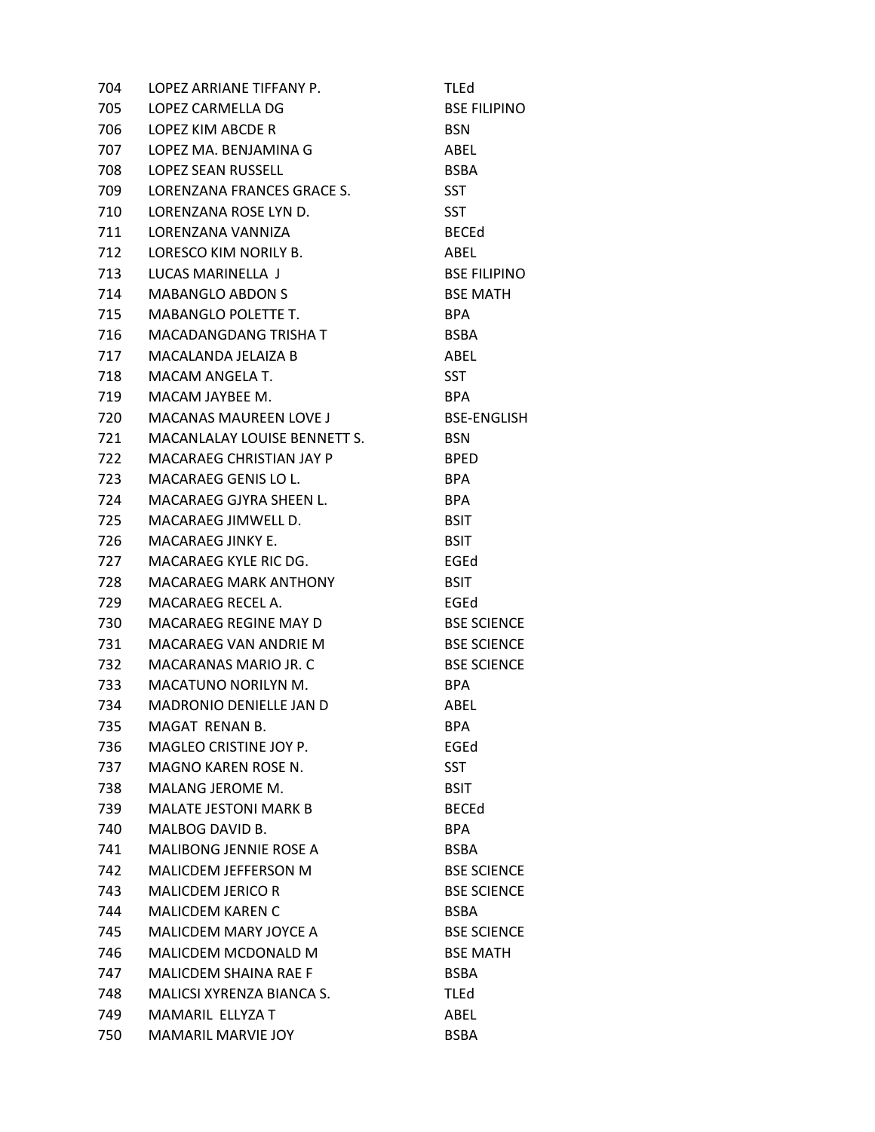| 704  | LOPEZ ARRIANE TIFFANY P.       | <b>TLEd</b>         |
|------|--------------------------------|---------------------|
| 705  | LOPEZ CARMELLA DG              | <b>BSE FILIPINO</b> |
| 706  | LOPEZ KIM ABCDE R              | <b>BSN</b>          |
| 707  | LOPEZ MA. BENJAMINA G          | ABEL                |
| 708  | <b>LOPEZ SEAN RUSSELL</b>      | <b>BSBA</b>         |
| 709  | LORENZANA FRANCES GRACE S.     | <b>SST</b>          |
| 710  | LORENZANA ROSE LYN D.          | <b>SST</b>          |
| 711  | LORENZANA VANNIZA              | <b>BECEd</b>        |
| 712  | LORESCO KIM NORILY B.          | ABEL                |
| 713  | LUCAS MARINELLA J              | <b>BSE FILIPINO</b> |
| 714  | <b>MABANGLO ABDON S</b>        | <b>BSE MATH</b>     |
| 715  | <b>MABANGLO POLETTE T.</b>     | <b>BPA</b>          |
| 716  | MACADANGDANG TRISHA T          | <b>BSBA</b>         |
| 717  | MACALANDA JELAIZA B            | ABEL                |
| 718  | MACAM ANGELA T.                | <b>SST</b>          |
| 719  | MACAM JAYBEE M.                | <b>BPA</b>          |
| 720  | <b>MACANAS MAUREEN LOVE J</b>  | BSE-ENGLISH         |
| 721  | MACANLALAY LOUISE BENNETT S.   | <b>BSN</b>          |
| 722  | MACARAEG CHRISTIAN JAY P       | <b>BPED</b>         |
| 723  | MACARAEG GENIS LO L.           | <b>BPA</b>          |
| 724  | MACARAEG GJYRA SHEEN L.        | <b>BPA</b>          |
| 725  | MACARAEG JIMWELL D.            | <b>BSIT</b>         |
| 726  | MACARAEG JINKY E.              | <b>BSIT</b>         |
| 727  | MACARAEG KYLE RIC DG.          | EGEd                |
| 728  | MACARAEG MARK ANTHONY          | <b>BSIT</b>         |
| 729  | MACARAEG RECEL A.              | EGEd                |
| 730  | MACARAEG REGINE MAY D          | <b>BSE SCIENCE</b>  |
| 731  | MACARAEG VAN ANDRIE M          | <b>BSE SCIENCE</b>  |
| 732  | MACARANAS MARIO JR. C          | <b>BSE SCIENCE</b>  |
| 733  | <b>MACATUNO NORILYN M.</b>     | <b>BPA</b>          |
| 734  | <b>MADRONIO DENIELLE JAN D</b> | ABEL                |
| 735  | MAGAT RENAN B.                 | <b>BPA</b>          |
| 736  | MAGLEO CRISTINE JOY P.         | EGEd                |
| 737  | MAGNO KAREN ROSE N.            | <b>SST</b>          |
| 738  | MALANG JEROME M.               | <b>BSIT</b>         |
| 739  | <b>MALATE JESTONI MARK B</b>   | <b>BECEd</b>        |
| 740. | MALBOG DAVID B.                | BPA.                |
| 741  | <b>MALIBONG JENNIE ROSE A</b>  | <b>BSBA</b>         |
| 742  | <b>MALICDEM JEFFERSON M</b>    | <b>BSE SCIENCE</b>  |
| 743  | <b>MALICDEM JERICO R</b>       | <b>BSE SCIENCE</b>  |
| 744  | <b>MALICDEM KAREN C</b>        | <b>BSBA</b>         |
| 745  | <b>MALICDEM MARY JOYCE A</b>   | <b>BSE SCIENCE</b>  |
| 746  | MALICDEM MCDONALD M            | <b>BSE MATH</b>     |
| 747  | <b>MALICDEM SHAINA RAE F</b>   | <b>BSBA</b>         |
| 748  | MALICSI XYRENZA BIANCA S.      | <b>TLEd</b>         |
| 749  | MAMARIL ELLYZA T               | ABEL                |
| 750  | <b>MAMARIL MARVIE JOY</b>      | <b>BSBA</b>         |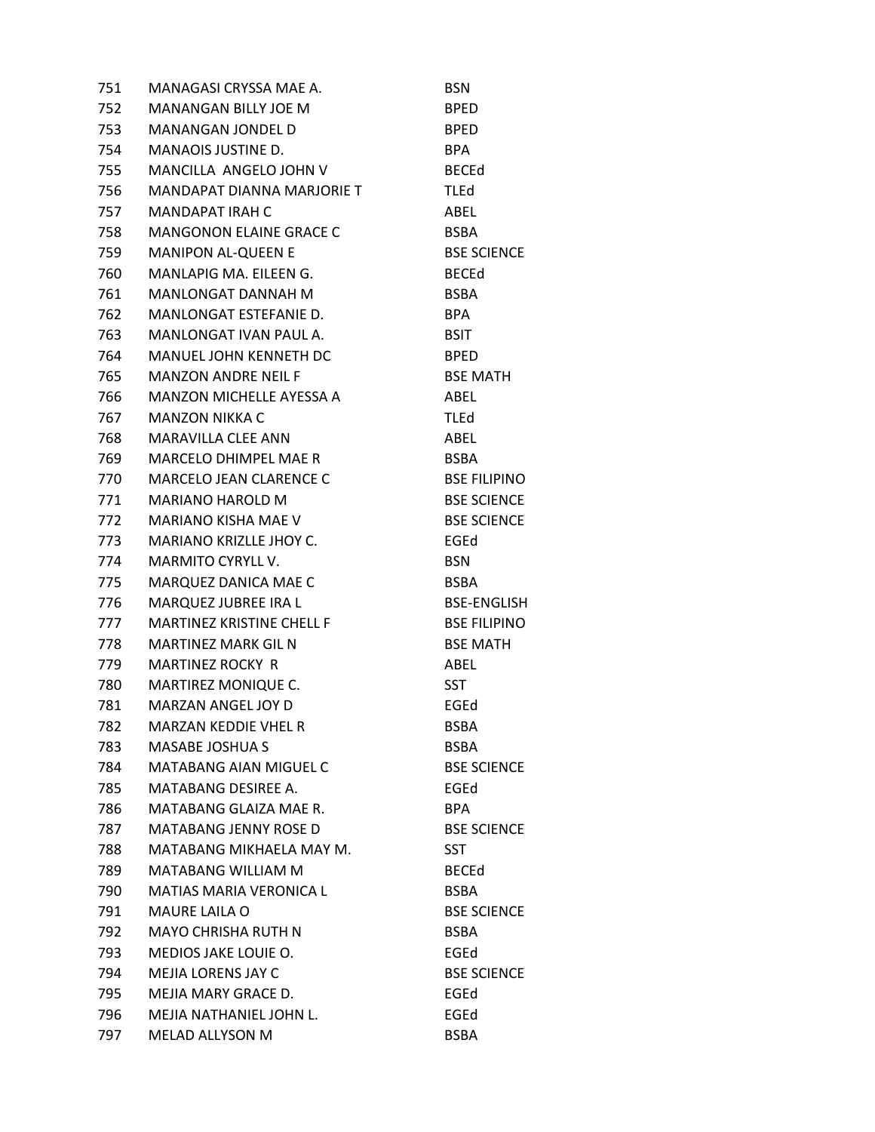| 751   | MANAGASI CRYSSA MAE A.           | <b>BSN</b>          |
|-------|----------------------------------|---------------------|
| 752   | <b>MANANGAN BILLY JOE M</b>      | <b>BPED</b>         |
| 753   | <b>MANANGAN JONDEL D</b>         | <b>BPED</b>         |
| 754   | <b>MANAOIS JUSTINE D.</b>        | <b>BPA</b>          |
| 755   | MANCILLA ANGELO JOHN V           | <b>BECEd</b>        |
| 756   | MANDAPAT DIANNA MARJORIE T       | <b>TLEd</b>         |
| 757   | MANDAPAT IRAH C                  | ABEL                |
| 758   | <b>MANGONON ELAINE GRACE C</b>   | <b>BSBA</b>         |
| 759   | <b>MANIPON AL-QUEEN E</b>        | <b>BSE SCIENCE</b>  |
| 760   | MANLAPIG MA. EILEEN G.           | <b>BECEd</b>        |
| 761   | MANLONGAT DANNAH M               | <b>BSBA</b>         |
| 762   | MANLONGAT ESTEFANIE D.           | <b>BPA</b>          |
| 763   | MANLONGAT IVAN PAUL A.           | <b>BSIT</b>         |
| 764   | MANUEL JOHN KENNETH DC           | <b>BPED</b>         |
| 765   | <b>MANZON ANDRE NEIL F</b>       | <b>BSE MATH</b>     |
| 766   | <b>MANZON MICHELLE AYESSA A</b>  | ABEL                |
| 767   | MANZON NIKKA C                   | <b>TLEd</b>         |
| 768   | MARAVILLA CLEE ANN               | ABEL                |
| 769   | MARCELO DHIMPEL MAE R            | BSBA                |
| 770   | <b>MARCELO JEAN CLARENCE C</b>   | <b>BSE FILIPINO</b> |
| 771   | <b>MARIANO HAROLD M</b>          | <b>BSE SCIENCE</b>  |
| 772   | MARIANO KISHA MAE V              | <b>BSE SCIENCE</b>  |
| 773   | MARIANO KRIZLLE JHOY C.          | EGEd                |
| 774   | <b>MARMITO CYRYLL V.</b>         | <b>BSN</b>          |
| 775   | MARQUEZ DANICA MAE C             | <b>BSBA</b>         |
| 776   | MARQUEZ JUBREE IRA L             | <b>BSE-ENGLISH</b>  |
| 777   | <b>MARTINEZ KRISTINE CHELL F</b> | <b>BSE FILIPINO</b> |
| 778   | <b>MARTINEZ MARK GIL N</b>       | <b>BSE MATH</b>     |
| 779   | <b>MARTINEZ ROCKY R</b>          | ABEL                |
| 780 — | MARTIREZ MONIQUE C.              | <b>SST</b>          |
| 781   | <b>MARZAN ANGEL JOY D</b>        | EGEd                |
| 782   | MARZAN KEDDIE VHEL R             | <b>BSBA</b>         |
| 783   | <b>MASABE JOSHUA S</b>           | <b>BSBA</b>         |
| 784   | <b>MATABANG AIAN MIGUEL C</b>    | <b>BSE SCIENCE</b>  |
| 785   | <b>MATABANG DESIREE A.</b>       | EGEd                |
| 786   | MATABANG GLAIZA MAE R.           | <b>BPA</b>          |
| 787   | <b>MATABANG JENNY ROSE D</b>     | <b>BSE SCIENCE</b>  |
| 788   | MATABANG MIKHAELA MAY M.         | <b>SST</b>          |
| 789   | <b>MATABANG WILLIAM M</b>        | <b>BECEd</b>        |
| 790   | <b>MATIAS MARIA VERONICA L</b>   | <b>BSBA</b>         |
| 791   | <b>MAURE LAILA O</b>             | <b>BSE SCIENCE</b>  |
| 792   | <b>MAYO CHRISHA RUTH N</b>       | <b>BSBA</b>         |
| 793   | <b>MEDIOS JAKE LOUIE O.</b>      | EGEd                |
| 794   | <b>MEJIA LORENS JAY C</b>        | <b>BSE SCIENCE</b>  |
| 795   | MEJIA MARY GRACE D.              | EGEd                |
| 796   | MEJIA NATHANIEL JOHN L.          | EGEd                |
| 797   | MELAD ALLYSON M                  | <b>BSBA</b>         |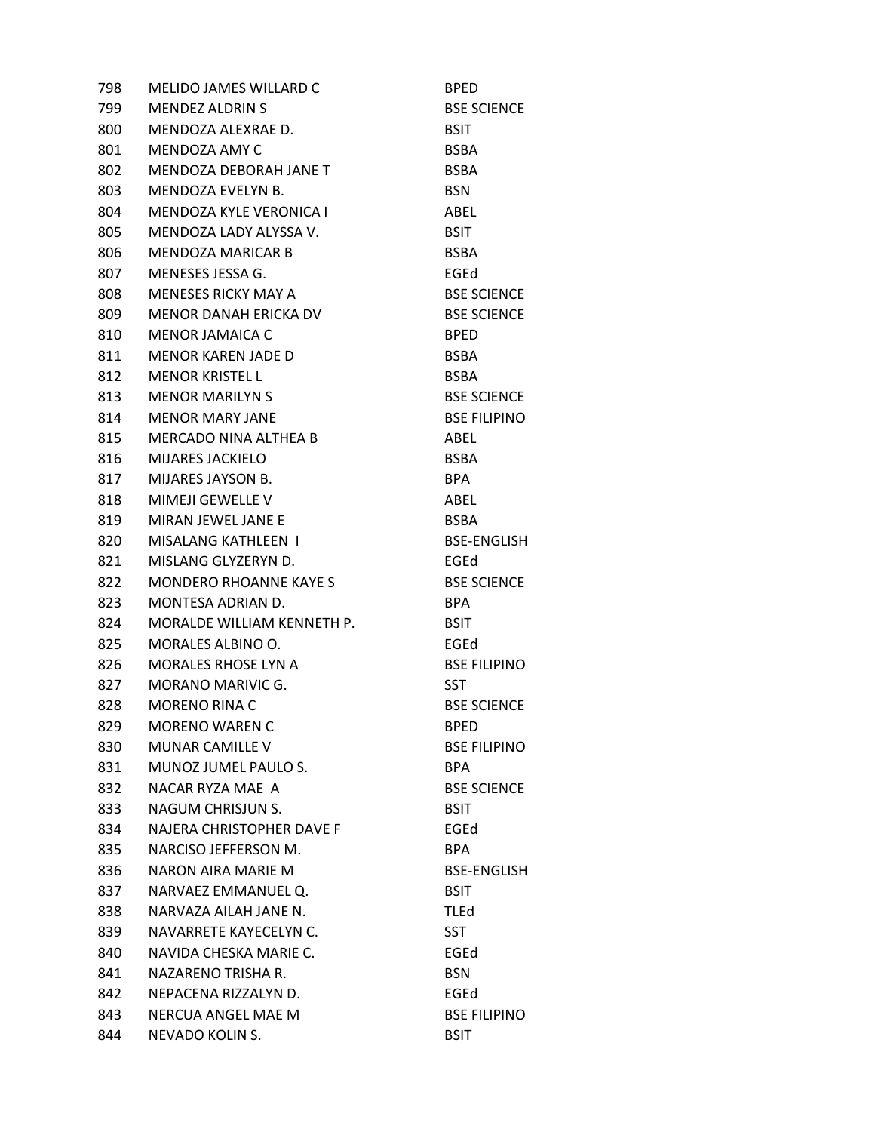| 798 | <b>MELIDO JAMES WILLARD C</b>    | <b>BPED</b>         |
|-----|----------------------------------|---------------------|
| 799 | <b>MENDEZ ALDRIN S</b>           | <b>BSE SCIENCE</b>  |
| 800 | MENDOZA ALEXRAE D.               | <b>BSIT</b>         |
| 801 | MENDOZA AMY C                    | <b>BSBA</b>         |
| 802 | MENDOZA DEBORAH JANE T           | <b>BSBA</b>         |
| 803 | MENDOZA EVELYN B.                | <b>BSN</b>          |
| 804 | <b>MENDOZA KYLE VERONICA I</b>   | ABEL                |
| 805 | MENDOZA LADY ALYSSA V.           | <b>BSIT</b>         |
| 806 | <b>MENDOZA MARICAR B</b>         | <b>BSBA</b>         |
| 807 | MENESES JESSA G.                 | EGEd                |
| 808 | <b>MENESES RICKY MAY A</b>       | <b>BSE SCIENCE</b>  |
| 809 | MENOR DANAH ERICKA DV            | <b>BSE SCIENCE</b>  |
| 810 | MENOR JAMAICA C                  | <b>BPED</b>         |
| 811 | <b>MENOR KAREN JADE D</b>        | <b>BSBA</b>         |
| 812 | <b>MENOR KRISTEL L</b>           | <b>BSBA</b>         |
| 813 | <b>MENOR MARILYN S</b>           | <b>BSE SCIENCE</b>  |
| 814 | MENOR MARY JANE                  | <b>BSE FILIPINO</b> |
| 815 | MERCADO NINA ALTHEA B            | ABEL                |
| 816 | <b>MIJARES JACKIELO</b>          | <b>BSBA</b>         |
| 817 | <b>MIJARES JAYSON B.</b>         | <b>BPA</b>          |
| 818 | <b>MIMEJI GEWELLE V</b>          | ABEL                |
| 819 | <b>MIRAN JEWEL JANE E</b>        | BSBA                |
| 820 | MISALANG KATHLEEN I              | <b>BSE-ENGLISH</b>  |
| 821 | MISLANG GLYZERYN D.              | EGEd                |
| 822 | <b>MONDERO RHOANNE KAYE S</b>    | <b>BSE SCIENCE</b>  |
| 823 | MONTESA ADRIAN D.                | BPA                 |
| 824 | MORALDE WILLIAM KENNETH P.       | <b>BSIT</b>         |
| 825 | MORALES ALBINO O.                | EGEd                |
| 826 | <b>MORALES RHOSE LYN A</b>       | <b>BSE FILIPINO</b> |
| 827 | MORANO MARIVIC G.                | SST                 |
| 828 | <b>MORENO RINA C</b>             | <b>BSE SCIENCE</b>  |
| 829 | <b>MORENO WAREN C</b>            | <b>BPED</b>         |
| 830 | <b>MUNAR CAMILLE V</b>           | <b>BSE FILIPINO</b> |
| 831 | MUNOZ JUMEL PAULO S.             | BPA.                |
| 832 | NACAR RYZA MAE A                 | <b>BSE SCIENCE</b>  |
| 833 | NAGUM CHRISJUN S.                | <b>BSIT</b>         |
| 834 | <b>NAJERA CHRISTOPHER DAVE F</b> | EGEd                |
| 835 | NARCISO JEFFERSON M.             | <b>BPA</b>          |
| 836 | NARON AIRA MARIE M               | <b>BSE-ENGLISH</b>  |
| 837 | NARVAEZ EMMANUEL Q.              | <b>BSIT</b>         |
| 838 | NARVAZA AILAH JANE N.            | <b>TLEd</b>         |
| 839 | NAVARRETE KAYECELYN C.           | <b>SST</b>          |
| 840 | NAVIDA CHESKA MARIE C.           | EGEd                |
| 841 | NAZARENO TRISHA R.               | <b>BSN</b>          |
| 842 | NEPACENA RIZZALYN D.             | EGEd                |
| 843 | NERCUA ANGEL MAE M               | <b>BSE FILIPINO</b> |
| 844 | NEVADO KOLIN S.                  | <b>BSIT</b>         |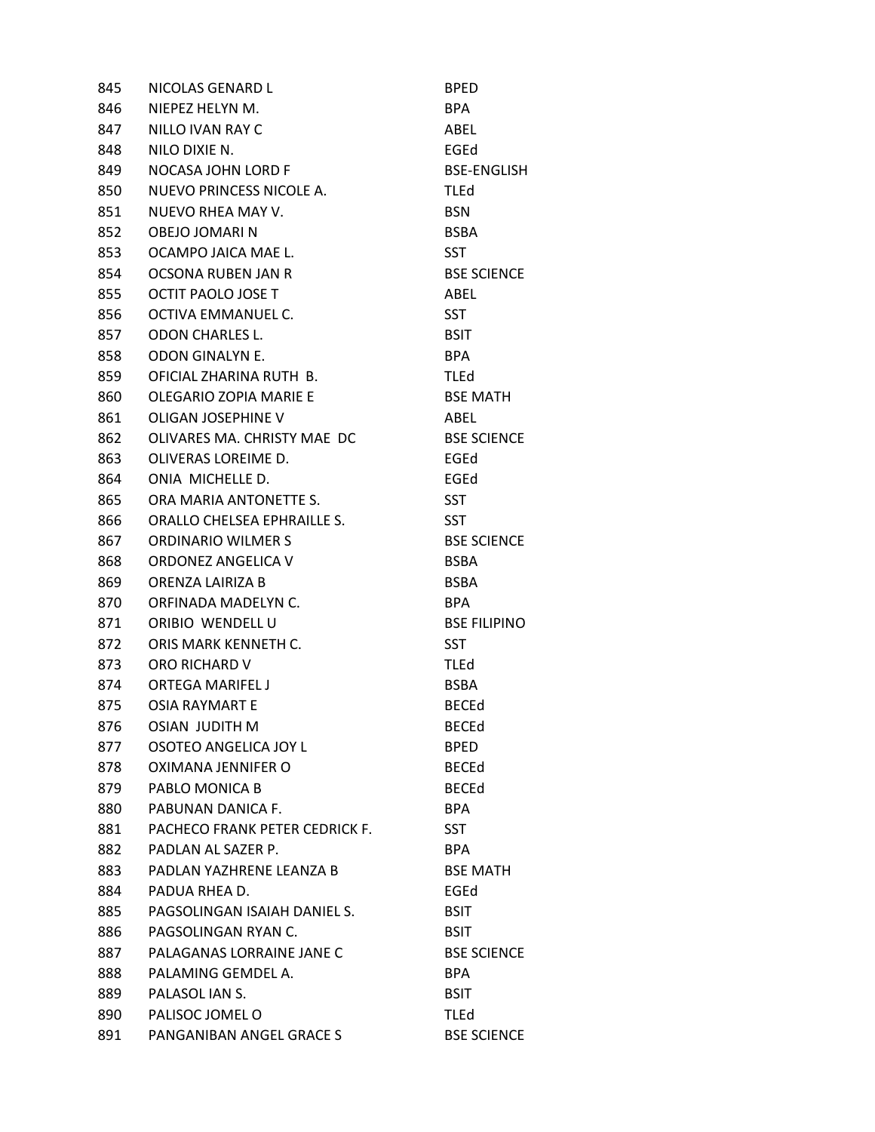| 845 | NICOLAS GENARD L               | <b>BPED</b>         |
|-----|--------------------------------|---------------------|
| 846 | NIEPEZ HELYN M.                | BPA.                |
| 847 | NILLO IVAN RAY C               | ABEL                |
| 848 | NILO DIXIE N.                  | EGEd                |
| 849 | <b>NOCASA JOHN LORD F</b>      | <b>BSE-ENGLISH</b>  |
| 850 | NUEVO PRINCESS NICOLE A.       | TLEd                |
| 851 | NUEVO RHEA MAY V.              | <b>BSN</b>          |
| 852 | OBEJO JOMARI N                 | <b>BSBA</b>         |
| 853 | OCAMPO JAICA MAE L.            | <b>SST</b>          |
| 854 | OCSONA RUBEN JAN R             | <b>BSE SCIENCE</b>  |
| 855 | OCTIT PAOLO JOSE T             | ABEL                |
| 856 | OCTIVA EMMANUEL C.             | <b>SST</b>          |
| 857 | <b>ODON CHARLES L.</b>         | <b>BSIT</b>         |
| 858 | ODON GINALYN E.                | BPA                 |
| 859 | OFICIAL ZHARINA RUTH B.        | <b>TLEd</b>         |
| 860 | <b>OLEGARIO ZOPIA MARIE E</b>  | <b>BSE MATH</b>     |
| 861 | OLIGAN JOSEPHINE V             | ABEL                |
| 862 | OLIVARES MA. CHRISTY MAE DC    | <b>BSE SCIENCE</b>  |
| 863 | OLIVERAS LOREIME D.            | EGEd                |
| 864 | ONIA MICHELLE D.               | EGEd                |
| 865 | ORA MARIA ANTONETTE S.         | <b>SST</b>          |
| 866 | ORALLO CHELSEA EPHRAILLE S.    | <b>SST</b>          |
| 867 | <b>ORDINARIO WILMER S</b>      | <b>BSE SCIENCE</b>  |
| 868 | ORDONEZ ANGELICA V             | <b>BSBA</b>         |
| 869 | ORENZA LAIRIZA B               | <b>BSBA</b>         |
| 870 | ORFINADA MADELYN C.            | BPA                 |
| 871 | ORIBIO WENDELL U               | <b>BSE FILIPINO</b> |
| 872 | ORIS MARK KENNETH C.           | <b>SST</b>          |
| 873 | ORO RICHARD V                  | <b>TLEd</b>         |
| 874 | <b>ORTEGA MARIFEL J</b>        | <b>BSBA</b>         |
| 875 | OSIA RAYMART E                 | <b>BECEd</b>        |
| 876 | <b>OSIAN JUDITH M</b>          | <b>BECEd</b>        |
| 877 | OSOTEO ANGELICA JOY L          | <b>BPED</b>         |
| 878 | OXIMANA JENNIFER O             | <b>BECEd</b>        |
| 879 | PABLO MONICA B                 | <b>BECEd</b>        |
| 880 | PABUNAN DANICA F.              | <b>BPA</b>          |
| 881 | PACHECO FRANK PETER CEDRICK F. | <b>SST</b>          |
| 882 | PADLAN AL SAZER P.             | BPA.                |
| 883 | PADLAN YAZHRENE LEANZA B       | <b>BSE MATH</b>     |
| 884 | PADUA RHEA D.                  | EGEd                |
| 885 | PAGSOLINGAN ISAIAH DANIEL S.   | <b>BSIT</b>         |
| 886 | PAGSOLINGAN RYAN C.            | <b>BSIT</b>         |
| 887 | PALAGANAS LORRAINE JANE C      | <b>BSE SCIENCE</b>  |
| 888 | PALAMING GEMDEL A.             | BPA.                |
| 889 | PALASOL JAN S.                 | <b>BSIT</b>         |
| 890 | PALISOC JOMEL O                | <b>TLEd</b>         |
| 891 | PANGANIBAN ANGEL GRACE S       | <b>BSE SCIENCE</b>  |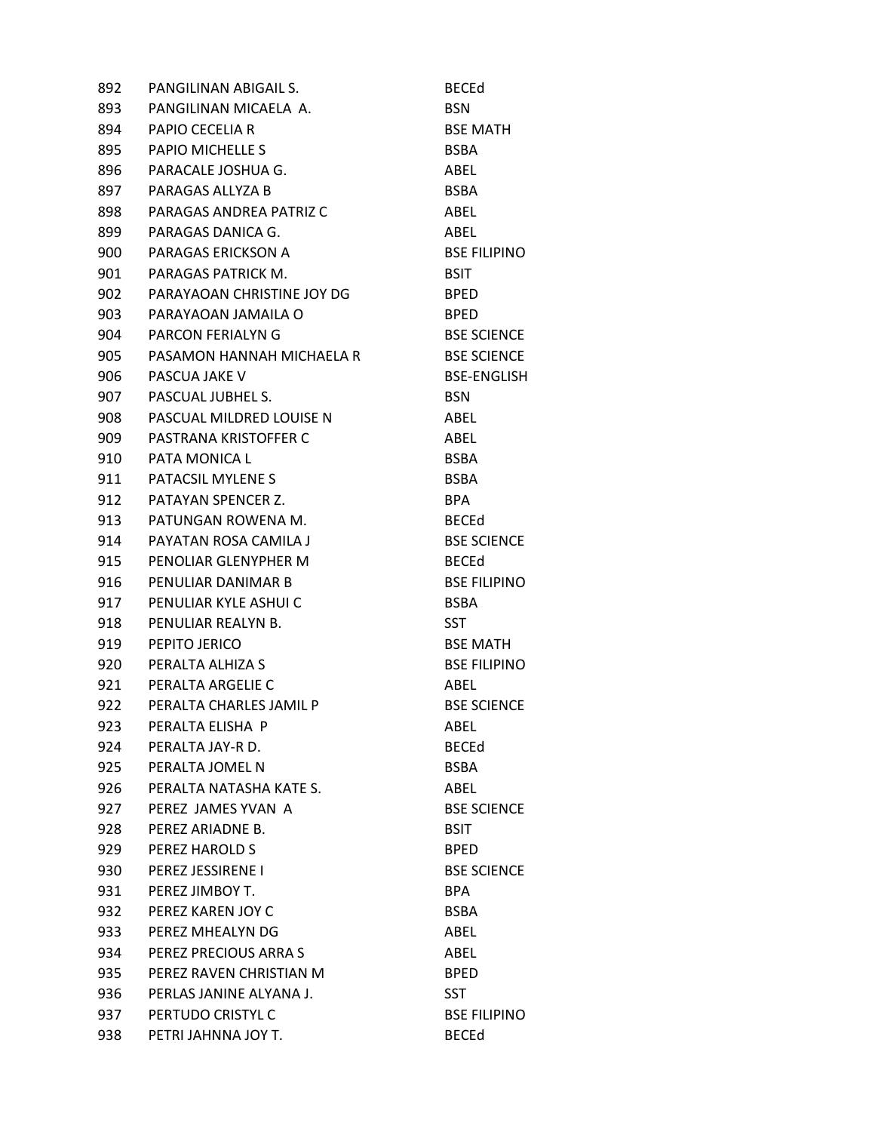| 892 | PANGILINAN ABIGAIL S.      | <b>BECEd</b>        |
|-----|----------------------------|---------------------|
| 893 | PANGILINAN MICAELA A.      | <b>BSN</b>          |
| 894 | <b>PAPIO CECELIA R</b>     | <b>BSE MATH</b>     |
| 895 | <b>PAPIO MICHELLE S</b>    | <b>BSBA</b>         |
| 896 | PARACALE JOSHUA G.         | ABEL                |
| 897 | PARAGAS ALLYZA B           | BSBA                |
| 898 | PARAGAS ANDREA PATRIZ C    | ABEL                |
| 899 | PARAGAS DANICA G.          | ABEL                |
| 900 | PARAGAS ERICKSON A         | <b>BSE FILIPINO</b> |
| 901 | PARAGAS PATRICK M.         | <b>BSIT</b>         |
| 902 | PARAYAOAN CHRISTINE JOY DG | <b>BPED</b>         |
| 903 | PARAYAOAN JAMAILA O        | <b>BPED</b>         |
| 904 | <b>PARCON FERIALYN G</b>   | <b>BSE SCIENCE</b>  |
| 905 | PASAMON HANNAH MICHAELA R  | <b>BSE SCIENCE</b>  |
| 906 | PASCUA JAKE V              | <b>BSE-ENGLISH</b>  |
| 907 | PASCUAL JUBHEL S.          | <b>BSN</b>          |
| 908 | PASCUAL MILDRED LOUISE N   | ABEL                |
| 909 | PASTRANA KRISTOFFER C      | ABEL                |
| 910 | PATA MONICA L              | <b>BSBA</b>         |
| 911 | PATACSIL MYLENE S          | <b>BSBA</b>         |
| 912 | PATAYAN SPENCER Z.         | BPA.                |
| 913 | PATUNGAN ROWENA M.         | <b>BECEd</b>        |
| 914 | PAYATAN ROSA CAMILA J      | <b>BSE SCIENCE</b>  |
| 915 | PENOLIAR GLENYPHER M       | <b>BECEd</b>        |
| 916 | PENULIAR DANIMAR B         | <b>BSE FILIPINO</b> |
| 917 | PENULIAR KYLE ASHUI C      | <b>BSBA</b>         |
| 918 | PENULIAR REALYN B.         | SST                 |
| 919 | PEPITO JERICO              | <b>BSE MATH</b>     |
| 920 | PERALTA ALHIZA S           | <b>BSE FILIPINO</b> |
| 921 | PERALTA ARGELIE C          | ABEL                |
| 922 | PERALTA CHARLES JAMIL P    | <b>BSE SCIENCE</b>  |
| 923 | PERALTA ELISHA P           | ABEL                |
| 924 | PERALTA JAY-R D.           | <b>BECEd</b>        |
| 925 | PERALTA JOMEL N            | <b>BSBA</b>         |
| 926 | PERALTA NATASHA KATE S.    | <b>ABEL</b>         |
| 927 | PEREZ JAMES YVAN A         | <b>BSE SCIENCE</b>  |
| 928 | PEREZ ARIADNE B.           | <b>BSIT</b>         |
| 929 | PEREZ HAROLD S             | <b>BPED</b>         |
| 930 | PEREZ JESSIRENE I          | <b>BSE SCIENCE</b>  |
| 931 | PEREZ JIMBOY T.            | <b>BPA</b>          |
| 932 | PEREZ KAREN JOY C          | BSBA                |
| 933 | PEREZ MHEALYN DG           | ABEL                |
| 934 | PEREZ PRECIOUS ARRA S      | ABEL                |
| 935 | PEREZ RAVEN CHRISTIAN M    | <b>BPED</b>         |
| 936 | PERLAS JANINE ALYANA J.    | <b>SST</b>          |
| 937 | PERTUDO CRISTYL C          | <b>BSE FILIPINO</b> |
| 938 | PETRI JAHNNA JOY T.        | <b>BECEd</b>        |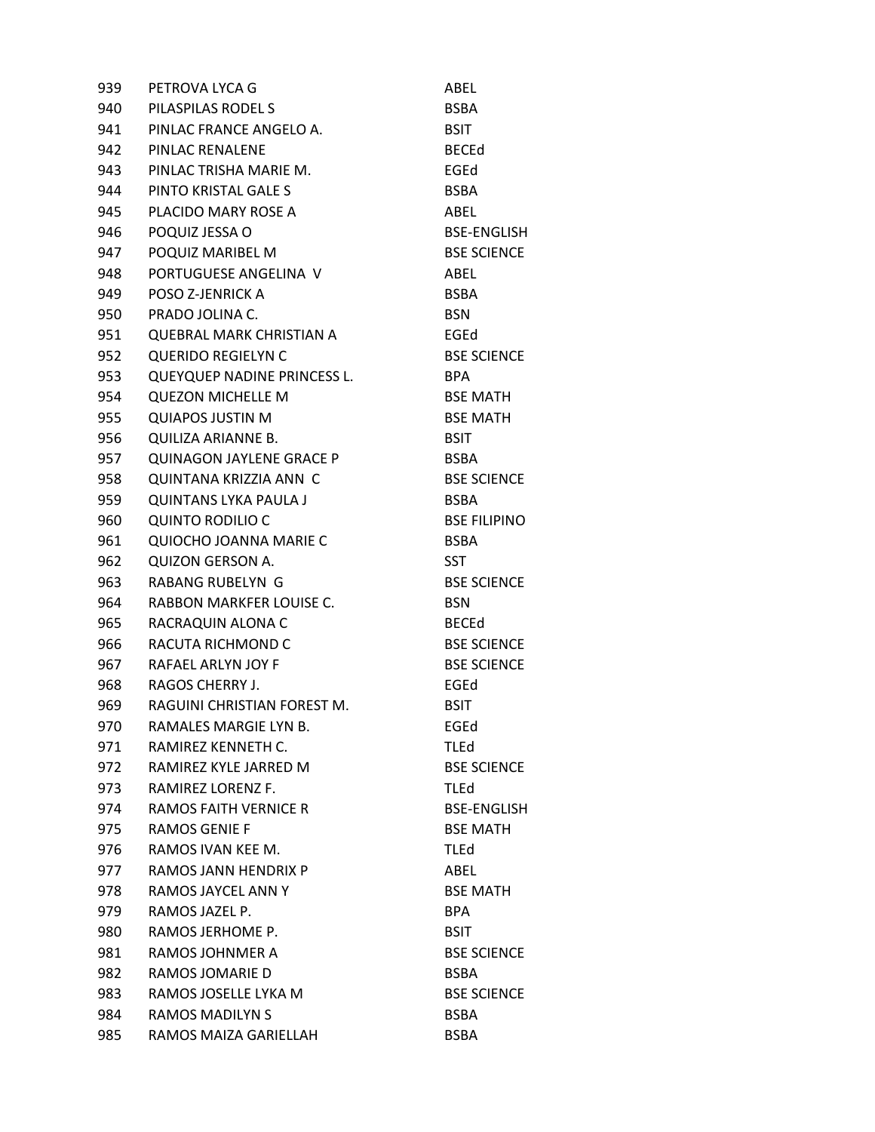| 939 | PETROVA LYCA G                  | ABEL                |
|-----|---------------------------------|---------------------|
| 940 | PILASPILAS RODEL S              | <b>BSBA</b>         |
| 941 | PINLAC FRANCE ANGELO A.         | <b>BSIT</b>         |
| 942 | PINLAC RENALENE                 | <b>BECEd</b>        |
| 943 | PINLAC TRISHA MARIE M.          | EGEd                |
| 944 | PINTO KRISTAL GALE S            | <b>BSBA</b>         |
| 945 | PLACIDO MARY ROSE A             | ABEL                |
| 946 | POQUIZ JESSA O                  | <b>BSE-ENGLISH</b>  |
| 947 | POQUIZ MARIBEL M                | <b>BSE SCIENCE</b>  |
| 948 | PORTUGUESE ANGELINA V           | ABEL                |
| 949 | POSO Z-JENRICK A                | <b>BSBA</b>         |
| 950 | PRADO JOLINA C.                 | <b>BSN</b>          |
| 951 | <b>QUEBRAL MARK CHRISTIAN A</b> | EGEd                |
| 952 | <b>QUERIDO REGIELYN C</b>       | <b>BSE SCIENCE</b>  |
| 953 | QUEYQUEP NADINE PRINCESS L.     | BPA                 |
| 954 | <b>QUEZON MICHELLE M</b>        | <b>BSE MATH</b>     |
| 955 | <b>QUIAPOS JUSTIN M</b>         | <b>BSE MATH</b>     |
| 956 | QUILIZA ARIANNE B.              | <b>BSIT</b>         |
| 957 | QUINAGON JAYLENE GRACE P        | <b>BSBA</b>         |
| 958 | QUINTANA KRIZZIA ANN C          | <b>BSE SCIENCE</b>  |
| 959 | <b>QUINTANS LYKA PAULA J</b>    | <b>BSBA</b>         |
| 960 | <b>QUINTO RODILIO C</b>         | <b>BSE FILIPINO</b> |
| 961 | QUIOCHO JOANNA MARIE C          | <b>BSBA</b>         |
| 962 | <b>QUIZON GERSON A.</b>         | <b>SST</b>          |
| 963 | RABANG RUBELYN G                | <b>BSE SCIENCE</b>  |
| 964 | RABBON MARKFER LOUISE C.        | <b>BSN</b>          |
| 965 | RACRAQUIN ALONA C               | <b>BECEd</b>        |
| 966 | RACUTA RICHMOND C               | <b>BSE SCIENCE</b>  |
| 967 | RAFAEL ARLYN JOY F              | <b>BSE SCIENCE</b>  |
| 968 | RAGOS CHERRY J.                 | EGEd                |
| 969 | RAGUINI CHRISTIAN FOREST M.     | <b>BSIT</b>         |
| 970 | RAMALES MARGIE LYN B.           | EGEd                |
| 971 | RAMIREZ KENNETH C.              | <b>TLEd</b>         |
| 972 | RAMIREZ KYLE JARRED M           | <b>BSE SCIENCE</b>  |
| 973 | RAMIREZ LORENZ F.               | <b>TLEd</b>         |
| 974 | <b>RAMOS FAITH VERNICE R</b>    | <b>BSE-ENGLISH</b>  |
| 975 | <b>RAMOS GENIE F</b>            | <b>BSE MATH</b>     |
| 976 | RAMOS IVAN KEE M.               | <b>TLEd</b>         |
| 977 | <b>RAMOS JANN HENDRIX P</b>     | ABEL                |
| 978 | RAMOS JAYCEL ANN Y              | <b>BSE MATH</b>     |
| 979 | RAMOS JAZEL P.                  | <b>BPA</b>          |
| 980 | RAMOS JERHOME P.                | <b>BSIT</b>         |
| 981 | RAMOS JOHNMER A                 | <b>BSE SCIENCE</b>  |
| 982 | RAMOS JOMARIE D                 | <b>BSBA</b>         |
| 983 | RAMOS JOSELLE LYKA M            | <b>BSE SCIENCE</b>  |
| 984 | <b>RAMOS MADILYN S</b>          | <b>BSBA</b>         |
| 985 | RAMOS MAIZA GARIELLAH           | <b>BSBA</b>         |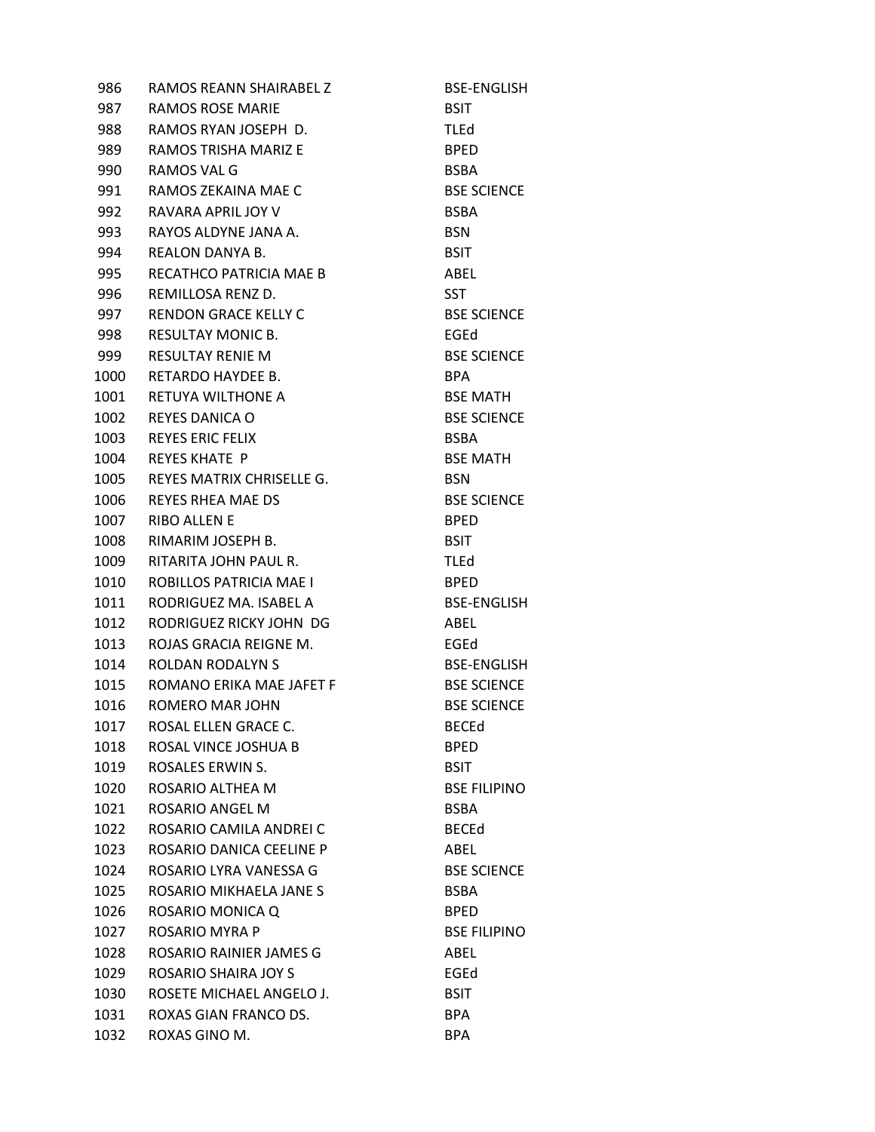986 RAMOS REANN SHAIRABEL Z BSE-ENGLISH 987 RAMOS ROSE MARIE BSIT 988 RAMOS RYAN JOSEPH D. TLEd 989 RAMOS TRISHA MARIZ E BPED 990 RAMOS VAL G BSBA 991 RAMOS ZEKAINA MAE C<br>BSE SCIENCE 992 RAVARA APRIL JOY V BSBA 993 RAYOS ALDYNE JANA A. BSN 994 REALON DANYA B. BSIT 995 RECATHCO PATRICIA MAE B ABEL 996 REMILLOSA RENZ D. SST 997 RENDON GRACE KELLY C<br>BSE SCIENCE 998 RESULTAY MONIC B. BEAT CHARGED AND REGED 999 RESULTAY RENIE M BSE SCIENCE 1000 RETARDO HAYDEE B. BPA 1001 RETUYA WILTHONE A BSE MATH 1002 REYES DANICA O BSE SCIENCE 1003 REYES ERIC FELIX BSBA 1004 REYES KHATE P BSE MATH 1005 REYES MATRIX CHRISELLE G. BSN 1006 REYES RHEA MAE DS BSE SCIENCE 1007 RIBO ALLEN E BPED 1008 RIMARIM JOSEPH B. BSIT 1009 RITARITA JOHN PAUL R. TLEd 1010 ROBILLOS PATRICIA MAE I BPED 1011 RODRIGUEZ MA. ISABEL A BSE-ENGLISH 1012 RODRIGUEZ RICKY JOHN DG ABEL 1013 ROJAS GRACIA REIGNE M. EGEd 1014 ROLDAN RODALYN S
BSE-ENGLISH 1015 ROMANO ERIKA MAE JAFET F BSE SCIENCE 1016 ROMERO MAR JOHN BSE SCIENCE 1017 ROSAL ELLEN GRACE C. BECEd 1018 ROSAL VINCE JOSHUA B BPED 1019 ROSALES ERWIN S. BSIT 1020 ROSARIO ALTHEA M BSE FILIPINO 1021 ROSARIO ANGEL M<br>BSBA 1022 ROSARIO CAMILA ANDREI C BECEd 1023 ROSARIO DANICA CEELINE P ABEL 1024 ROSARIO LYRA VANESSA G<br>BSE SCIENCE 1025 ROSARIO MIKHAELA JANE S<br>BSBA 1026 ROSARIO MONICA Q<br>BPED 1027 ROSARIO MYRA P BSE FILIPINO 1028 ROSARIO RAINIER JAMES G<br>ABEL 1029 ROSARIO SHAIRA JOY S EGEd 1030 ROSETE MICHAEL ANGELO J. BSIT 1031 ROXAS GIAN FRANCO DS. BPA 1032 ROXAS GINO M. BPA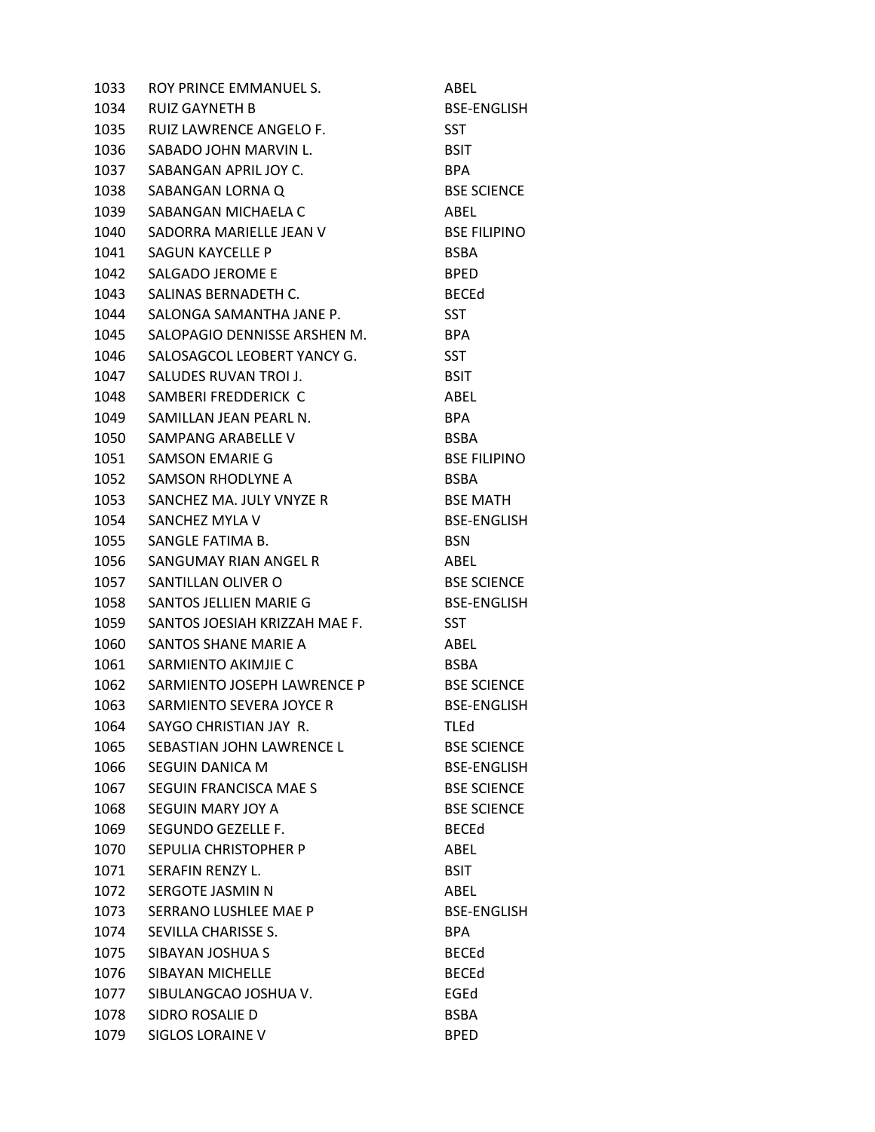| 1033 | ROY PRINCE EMMANUEL S.        | ABEL                |
|------|-------------------------------|---------------------|
| 1034 | RUIZ GAYNETH B                | <b>BSE-ENGLISH</b>  |
| 1035 | RUIZ LAWRENCE ANGELO F.       | <b>SST</b>          |
| 1036 | SABADO JOHN MARVIN L.         | <b>BSIT</b>         |
| 1037 | SABANGAN APRIL JOY C.         | <b>BPA</b>          |
| 1038 | SABANGAN LORNA Q              | <b>BSE SCIENCE</b>  |
| 1039 | SABANGAN MICHAELA C           | ABEL                |
| 1040 | SADORRA MARIELLE JEAN V       | <b>BSE FILIPINO</b> |
| 1041 | SAGUN KAYCELLE P              | <b>BSBA</b>         |
| 1042 | SALGADO JEROME E              | <b>BPED</b>         |
| 1043 | SALINAS BERNADETH C.          | <b>BECEd</b>        |
| 1044 | SALONGA SAMANTHA JANE P.      | <b>SST</b>          |
| 1045 | SALOPAGIO DENNISSE ARSHEN M.  | <b>BPA</b>          |
| 1046 | SALOSAGCOL LEOBERT YANCY G.   | <b>SST</b>          |
| 1047 | SALUDES RUVAN TROI J.         | <b>BSIT</b>         |
| 1048 | SAMBERI FREDDERICK C          | ABEL                |
| 1049 | SAMILLAN JEAN PEARL N.        | <b>BPA</b>          |
| 1050 | SAMPANG ARABELLE V            | <b>BSBA</b>         |
| 1051 | SAMSON EMARIE G               | <b>BSE FILIPINO</b> |
| 1052 | SAMSON RHODLYNE A             | <b>BSBA</b>         |
| 1053 | SANCHEZ MA. JULY VNYZE R      | <b>BSE MATH</b>     |
| 1054 | SANCHEZ MYLA V                | <b>BSE-ENGLISH</b>  |
| 1055 | SANGLE FATIMA B.              | <b>BSN</b>          |
| 1056 | SANGUMAY RIAN ANGEL R         | ABEL                |
| 1057 | SANTILLAN OLIVER O            | <b>BSE SCIENCE</b>  |
| 1058 | SANTOS JELLIEN MARIE G        | <b>BSE-ENGLISH</b>  |
| 1059 | SANTOS JOESIAH KRIZZAH MAE F. | <b>SST</b>          |
| 1060 | SANTOS SHANE MARIE A          | ABEL                |
| 1061 | SARMIENTO AKIMJIE C           | BSBA                |
| 1062 | SARMIENTO JOSEPH LAWRENCE P   | <b>BSE SCIENCE</b>  |
| 1063 | SARMIENTO SEVERA JOYCE R      | <b>BSE-ENGLISH</b>  |
| 1064 | SAYGO CHRISTIAN JAY R.        | <b>TLEd</b>         |
| 1065 | SEBASTIAN JOHN LAWRENCE L     | <b>BSE SCIENCE</b>  |
| 1066 | SEGUIN DANICA M               | <b>BSE-ENGLISH</b>  |
| 1067 | SEGUIN FRANCISCA MAE S        | <b>BSE SCIENCE</b>  |
| 1068 | SEGUIN MARY JOY A             | <b>BSE SCIENCE</b>  |
| 1069 | SEGUNDO GEZELLE F.            | <b>BECEd</b>        |
| 1070 | SEPULIA CHRISTOPHER P         | ABEL                |
| 1071 | SERAFIN RENZY L.              | <b>BSIT</b>         |
| 1072 | SERGOTE JASMIN N              | ABEL                |
| 1073 | SERRANO LUSHLEE MAE P         | <b>BSE-ENGLISH</b>  |
| 1074 | SEVILLA CHARISSE S.           | <b>BPA</b>          |
| 1075 | SIBAYAN JOSHUA S              | <b>BECEd</b>        |
| 1076 | SIBAYAN MICHELLE              | <b>BECEd</b>        |
| 1077 | SIBULANGCAO JOSHUA V.         | EGEd                |
| 1078 | SIDRO ROSALIE D               | <b>BSBA</b>         |
| 1079 | SIGLOS LORAINE V              | <b>BPED</b>         |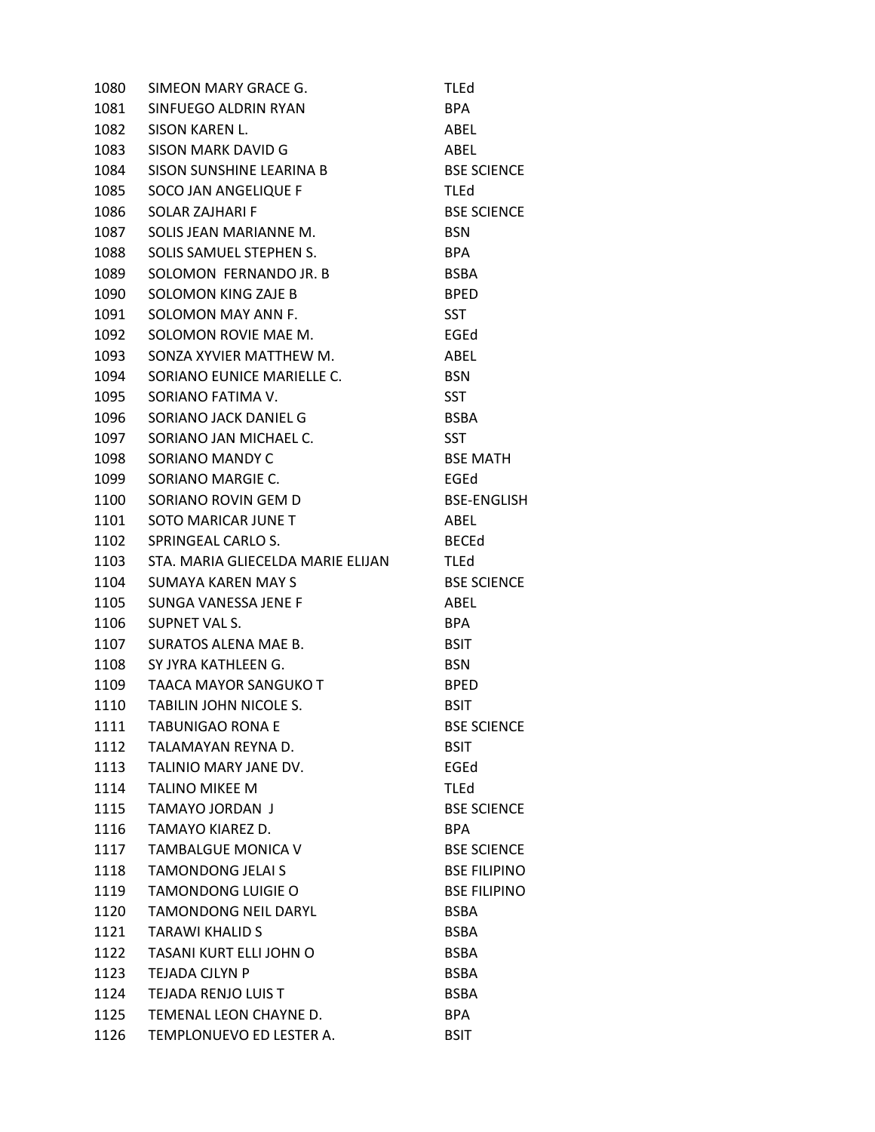1080 SIMEON MARY GRACE G. TLEd 1081 SINFUEGO ALDRIN RYAN BPA 1082 SISON KAREN L. ABEL 1083 SISON MARK DAVID G ABEL 1084 SISON SUNSHINE LEARINA B BSE SCIENCE 1085 SOCO JAN ANGELIQUE F TLEd 1086 SOLAR ZAJHARI F BSE SCIENCE 1087 SOLIS JEAN MARIANNE M. BSN 1088 SOLIS SAMUEL STEPHEN S. BPA 1089 SOLOMON FERNANDO JR. B BSBA 1090 SOLOMON KING ZAJE B BPED 1091 SOLOMON MAY ANN F. SST 1092 SOLOMON ROVIE MAE M. EGEd 1093 SONZA XYVIER MATTHEW M. ABEL 1094 SORIANO EUNICE MARIELLE C. BSN 1095 SORIANO FATIMA V. SST 1096 SORIANO JACK DANIEL G<br>BSBA 1097 SORIANO JAN MICHAEL C. SST 1098 SORIANO MANDY C<br>BSE MATH 1099 SORIANO MARGIE C. EGED EGED 1100 SORIANO ROVIN GEM D<br>BSE-ENGLISH 1101 SOTO MARICAR JUNE TWO CONTROLLER ABEL 1102 SPRINGEAL CARLO S. BECEd 1103 STA. MARIA GLIECELDA MARIE ELIJAN TLEd 1104 SUMAYA KAREN MAY S<br>BSE SCIENCE 1105 SUNGA VANESSA JENE F ABEL 1106 SUPNET VAL S. BPA 1107 SURATOS ALENA MAE B. BSIT 1108 SY JYRA KATHLEEN G. BSN 1109 TAACA MAYOR SANGUKO T BPED 1110 TABILIN JOHN NICOLE S. BSIT 1111 TABUNIGAO RONA E BSE SCIENCE 1112 TALAMAYAN REYNA D. BSIT 1113 TALINIO MARY JANE DV. EGEd 1114 TALINO MIKEE M TLEd 1115 TAMAYO JORDAN J<br>BSE SCIENCE 1116 TAMAYO KIAREZ D. BPA 1117 TAMBALGUE MONICA V BSE SCIENCE 1118 TAMONDONG JELAI S<br>BSE FILIPINO 1119 TAMONDONG LUIGIE O BSE FILIPINO 1120 TAMONDONG NEIL DARYL BSBA 1121 TARAWI KHALID S<br>BSBA 1122 TASANI KURT ELLI JOHN O BSBA 1123 TEJADA CJLYN P BSBA 1124 TEJADA RENJO LUIS T<br>BSBA 1125 TEMENAL LEON CHAYNE D. BPA 1126 TEMPLONUEVO ED LESTER A. BSIT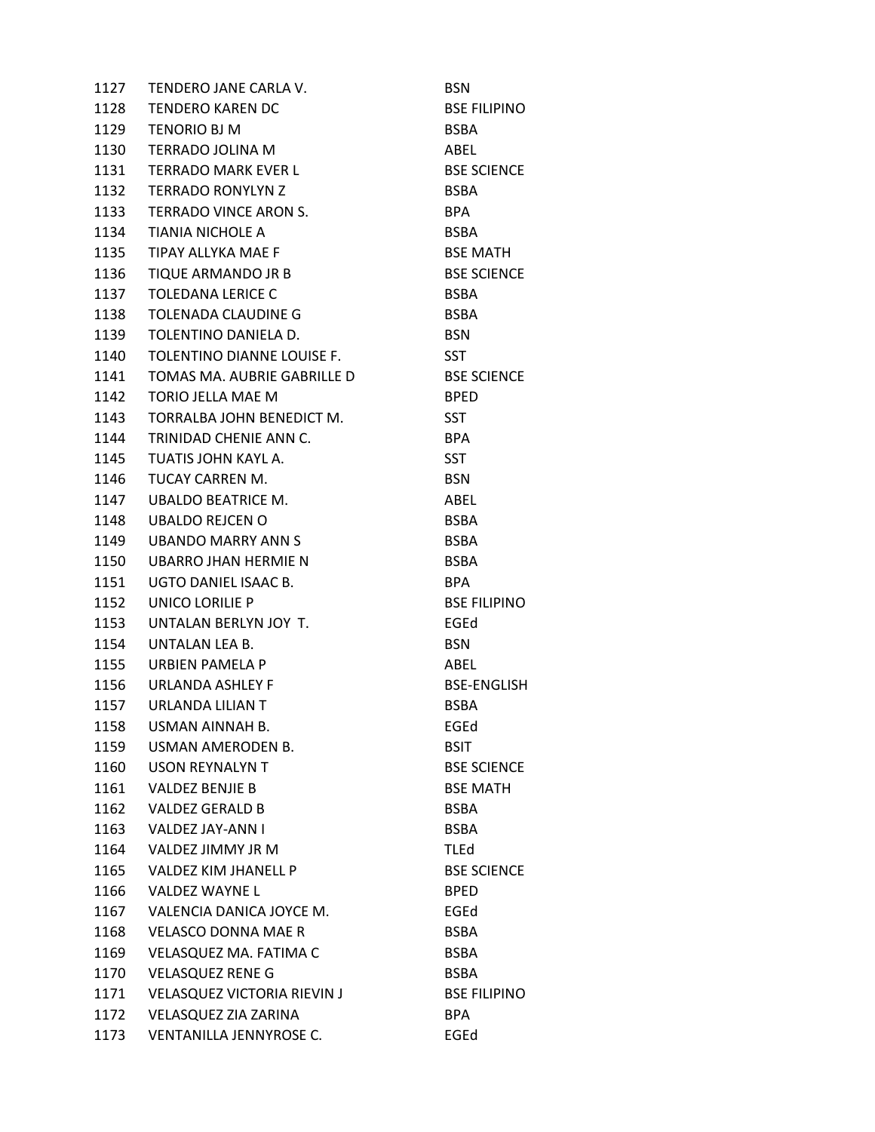| 1127 | TENDERO JANE CARLA V.              | <b>BSN</b>          |
|------|------------------------------------|---------------------|
| 1128 | <b>TENDERO KAREN DC</b>            | <b>BSE FILIPINO</b> |
| 1129 | <b>TENORIO BJ M</b>                | <b>BSBA</b>         |
|      | 1130 TERRADO JOLINA M              | ABEL                |
| 1131 | TERRADO MARK EVER L                | <b>BSE SCIENCE</b>  |
| 1132 | <b>TERRADO RONYLYN Z</b>           | <b>BSBA</b>         |
| 1133 | TERRADO VINCE ARON S.              | <b>BPA</b>          |
| 1134 | TIANIA NICHOLE A                   | <b>BSBA</b>         |
| 1135 | TIPAY ALLYKA MAE F                 | <b>BSE MATH</b>     |
| 1136 | TIQUE ARMANDO JR B                 | <b>BSE SCIENCE</b>  |
| 1137 | <b>TOLEDANA LERICE C</b>           | <b>BSBA</b>         |
| 1138 | TOLENADA CLAUDINE G                | <b>BSBA</b>         |
| 1139 | TOLENTINO DANIELA D.               | <b>BSN</b>          |
| 1140 | TOLENTINO DIANNE LOUISE F.         | <b>SST</b>          |
| 1141 | TOMAS MA, AUBRIE GABRILLE D        | <b>BSE SCIENCE</b>  |
| 1142 | TORIO JELLA MAE M                  | <b>BPED</b>         |
| 1143 | TORRALBA JOHN BENEDICT M.          | <b>SST</b>          |
| 1144 | TRINIDAD CHENIE ANN C.             | <b>BPA</b>          |
| 1145 | TUATIS JOHN KAYL A.                | <b>SST</b>          |
| 1146 | TUCAY CARREN M.                    | <b>BSN</b>          |
| 1147 | <b>UBALDO BEATRICE M.</b>          | ABEL                |
| 1148 | UBALDO REJCEN O                    | <b>BSBA</b>         |
| 1149 | <b>UBANDO MARRY ANN S</b>          | <b>BSBA</b>         |
| 1150 | UBARRO JHAN HERMIE N               | <b>BSBA</b>         |
| 1151 | UGTO DANIEL ISAAC B.               | <b>BPA</b>          |
| 1152 | UNICO LORILIE P                    | <b>BSE FILIPINO</b> |
| 1153 | UNTALAN BERLYN JOY T.              | EGEd                |
| 1154 | UNTALAN LEA B.                     | <b>BSN</b>          |
| 1155 | URBIEN PAMELA P                    | ABEL                |
| 1156 | <b>URLANDA ASHLEY F</b>            | <b>BSE-ENGLISH</b>  |
| 1157 | URLANDA LILIAN T                   | <b>BSBA</b>         |
| 1158 | <b>USMAN AINNAH B.</b>             | EGEd                |
| 1159 | USMAN AMERODEN B.                  | <b>BSIT</b>         |
| 1160 | <b>USON REYNALYN T</b>             | <b>BSE SCIENCE</b>  |
| 1161 | <b>VALDEZ BENJIE B</b>             | <b>BSE MATH</b>     |
| 1162 | <b>VALDEZ GERALD B</b>             | <b>BSBA</b>         |
| 1163 | VALDEZ JAY-ANN I                   | <b>BSBA</b>         |
| 1164 | VALDEZ JIMMY JR M                  | <b>TLEd</b>         |
| 1165 | VALDEZ KIM JHANELL P               | <b>BSE SCIENCE</b>  |
| 1166 | VALDEZ WAYNE L                     | <b>BPED</b>         |
| 1167 | VALENCIA DANICA JOYCE M.           | EGEd                |
| 1168 | <b>VELASCO DONNA MAE R</b>         | <b>BSBA</b>         |
| 1169 | VELASQUEZ MA. FATIMA C             | <b>BSBA</b>         |
| 1170 | <b>VELASQUEZ RENE G</b>            | <b>BSBA</b>         |
| 1171 | <b>VELASQUEZ VICTORIA RIEVIN J</b> | <b>BSE FILIPINO</b> |
| 1172 | VELASQUEZ ZIA ZARINA               | <b>BPA</b>          |
| 1173 | VENTANILLA JENNYROSE C.            | EGEd                |